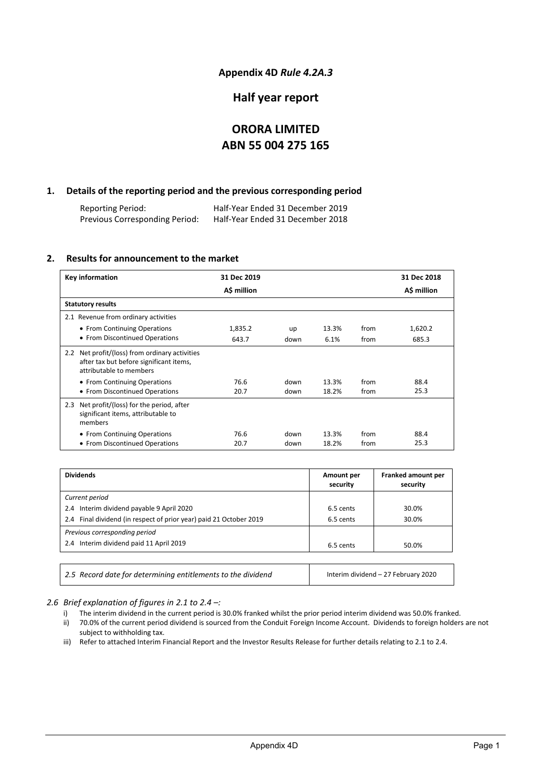### **Appendix 4D** *Rule 4.2A.3*

### **Half year report**

# **ORORA LIMITED ABN 55 004 275 165**

### **1. Details of the reporting period and the previous corresponding period**

Reporting Period: Half-Year Ended 31 December 2019 Previous Corresponding Period:

### **2. Results for announcement to the market**

| <b>Key information</b>                                                                                               | 31 Dec 2019 |      |       |      | 31 Dec 2018 |
|----------------------------------------------------------------------------------------------------------------------|-------------|------|-------|------|-------------|
|                                                                                                                      | A\$ million |      |       |      | A\$ million |
| <b>Statutory results</b>                                                                                             |             |      |       |      |             |
| 2.1 Revenue from ordinary activities                                                                                 |             |      |       |      |             |
| • From Continuing Operations                                                                                         | 1,835.2     | up   | 13.3% | from | 1,620.2     |
| • From Discontinued Operations                                                                                       | 643.7       | down | 6.1%  | from | 685.3       |
| 2.2 Net profit/(loss) from ordinary activities<br>after tax but before significant items,<br>attributable to members |             |      |       |      |             |
| • From Continuing Operations                                                                                         | 76.6        | down | 13.3% | from | 88.4        |
| • From Discontinued Operations                                                                                       | 20.7        | down | 18.2% | from | 25.3        |
| Net profit/(loss) for the period, after<br>2.3<br>significant items, attributable to<br>members                      |             |      |       |      |             |
| • From Continuing Operations                                                                                         | 76.6        | down | 13.3% | from | 88.4        |
| • From Discontinued Operations                                                                                       | 20.7        | down | 18.2% | from | 25.3        |

| <b>Dividends</b>                                                   | Amount per<br>security | Franked amount per<br>security |
|--------------------------------------------------------------------|------------------------|--------------------------------|
| Current period                                                     |                        |                                |
| 2.4 Interim dividend payable 9 April 2020                          | 6.5 cents              | 30.0%                          |
| 2.4 Final dividend (in respect of prior year) paid 21 October 2019 | 6.5 cents              | 30.0%                          |
| Previous corresponding period                                      |                        |                                |
| 2.4 Interim dividend paid 11 April 2019                            | 6.5 cents              | 50.0%                          |

| 2.5 Record date for determining entitlements to the dividend | Interim dividend - 27 February 2020 |  |
|--------------------------------------------------------------|-------------------------------------|--|
|                                                              |                                     |  |

*2.6 Brief explanation of figures in 2.1 to 2.4 –:*

- i) The interim dividend in the current period is 30.0% franked whilst the prior period interim dividend was 50.0% franked.
- ii) 70.0% of the current period dividend is sourced from the Conduit Foreign Income Account. Dividends to foreign holders are not subject to withholding tax.
- iii) Refer to attached Interim Financial Report and the Investor Results Release for further details relating to 2.1 to 2.4.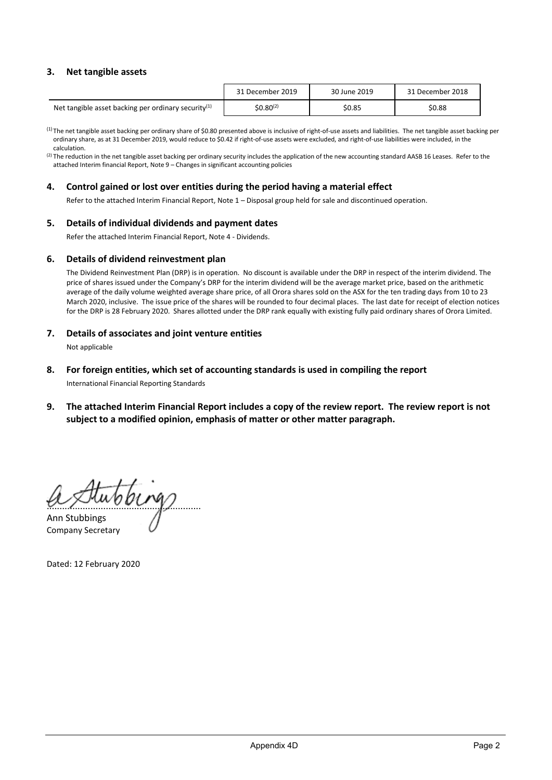### **3. Net tangible assets**

|                                                        | 31 December 2019      | 30 June 2019 | 31 December 2018 |
|--------------------------------------------------------|-----------------------|--------------|------------------|
| Net tangible asset backing per ordinary security $(1)$ | \$0.80 <sup>(2)</sup> | \$0.85       | \$0.88           |

(1) The net tangible asset backing per ordinary share of \$0.80 presented above is inclusive of right-of-use assets and liabilities. The net tangible asset backing per ordinary share, as at 31 December 2019, would reduce to \$0.42 if right-of-use assets were excluded, and right-of-use liabilities were included, in the calculation.

(2) The reduction in the net tangible asset backing per ordinary security includes the application of the new accounting standard AASB 16 Leases. Refer to the attached Interim financial Report, Note 9 – Changes in significant accounting policies

### **4. Control gained or lost over entities during the period having a material effect**

Refer to the attached Interim Financial Report, Note 1 – Disposal group held for sale and discontinued operation.

### **5. Details of individual dividends and payment dates**

Refer the attached Interim Financial Report, Note 4 - Dividends.

### **6. Details of dividend reinvestment plan**

The Dividend Reinvestment Plan (DRP) is in operation. No discount is available under the DRP in respect of the interim dividend. The price of shares issued under the Company's DRP for the interim dividend will be the average market price, based on the arithmetic average of the daily volume weighted average share price, of all Orora shares sold on the ASX for the ten trading days from 10 to 23 March 2020, inclusive. The issue price of the shares will be rounded to four decimal places. The last date for receipt of election notices for the DRP is 28 February 2020. Shares allotted under the DRP rank equally with existing fully paid ordinary shares of Orora Limited.

### **7. Details of associates and joint venture entities**

Not applicable

### **8. For foreign entities, which set of accounting standards is used in compiling the report**

International Financial Reporting Standards

**9. The attached Interim Financial Report includes a copy of the review report. The review report is not subject to a modified opinion, emphasis of matter or other matter paragraph.**

............................................................ Ann Stubbings

Company Secretary

Dated: 12 February 2020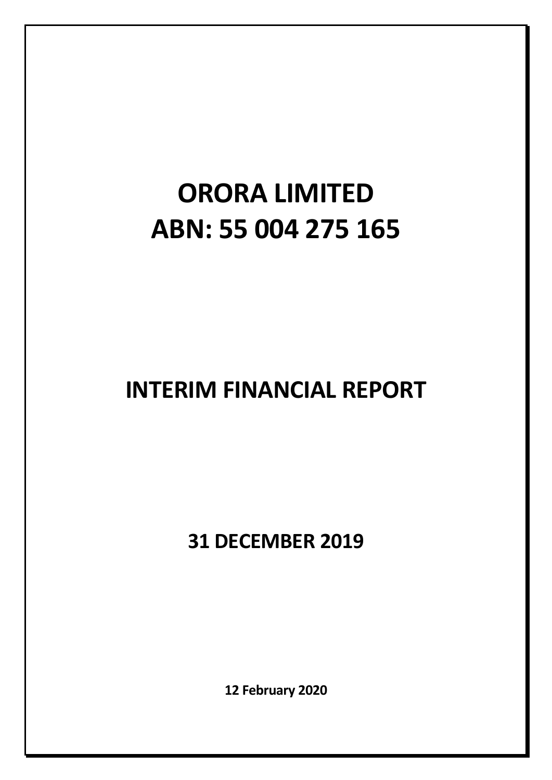# **ORORA LIMITED ABN: 55 004 275 165**

# **INTERIM FINANCIAL REPORT**

**31 DECEMBER 2019**

**12 February 2020**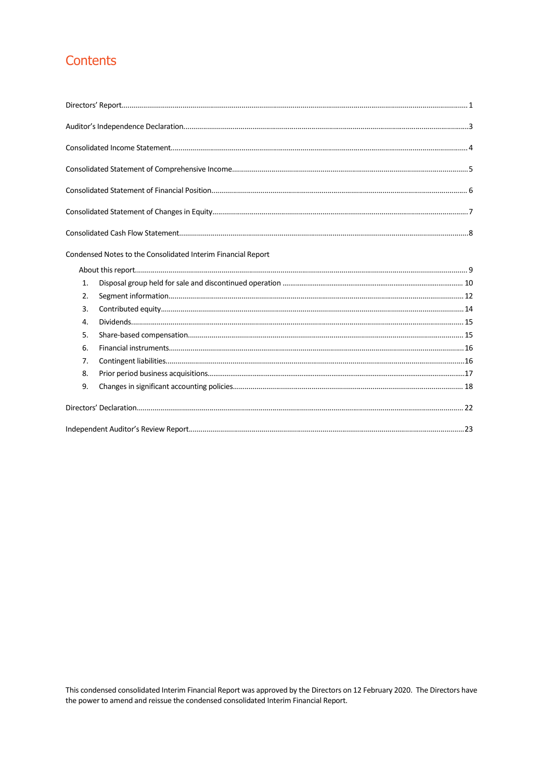# Contents

|    | Condensed Notes to the Consolidated Interim Financial Report |
|----|--------------------------------------------------------------|
|    |                                                              |
| 1. |                                                              |
| 2. |                                                              |
| 3. |                                                              |
| 4. |                                                              |
| 5. |                                                              |
| 6. |                                                              |
| 7. |                                                              |
| 8. |                                                              |
| 9. |                                                              |
|    |                                                              |
|    |                                                              |

This condensed consolidated Interim Financial Report was approved by the Directors on 12 February 2020. The Directors have the power to amend and reissue the condensed consolidated Interim Financial Report.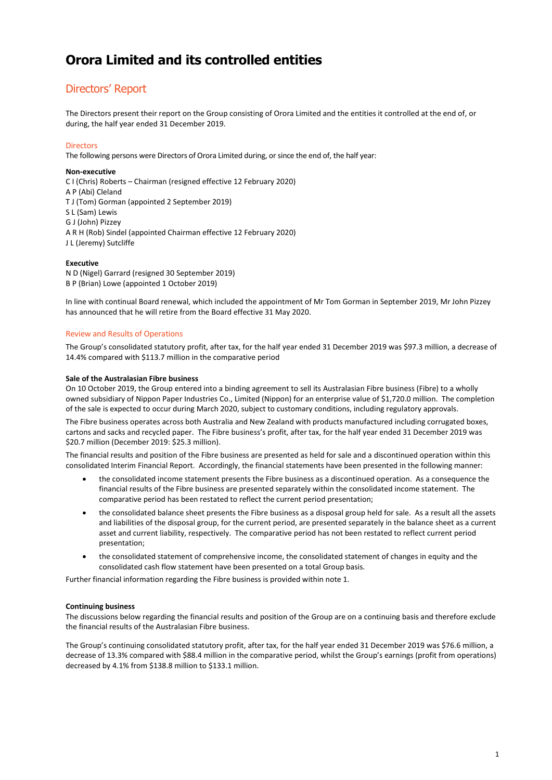### Directors' Report

The Directors present their report on the Group consisting of Orora Limited and the entities it controlled at the end of, or during, the half year ended 31 December 2019.

### **Directors**

The following persons were Directors of Orora Limited during, or since the end of, the half year:

### **Non-executive**

C I (Chris) Roberts – Chairman (resigned effective 12 February 2020) A P (Abi) Cleland T J (Tom) Gorman (appointed 2 September 2019) S L (Sam) Lewis G J (John) Pizzey A R H (Rob) Sindel (appointed Chairman effective 12 February 2020) J L (Jeremy) Sutcliffe

#### **Executive**

N D (Nigel) Garrard (resigned 30 September 2019) B P (Brian) Lowe (appointed 1 October 2019)

In line with continual Board renewal, which included the appointment of Mr Tom Gorman in September 2019, Mr John Pizzey has announced that he will retire from the Board effective 31 May 2020.

### Review and Results of Operations

The Group's consolidated statutory profit, after tax, for the half year ended 31 December 2019 was \$97.3 million, a decrease of 14.4% compared with \$113.7 million in the comparative period

### **Sale of the Australasian Fibre business**

On 10 October 2019, the Group entered into a binding agreement to sell its Australasian Fibre business (Fibre) to a wholly owned subsidiary of Nippon Paper Industries Co., Limited (Nippon) for an enterprise value of \$1,720.0 million. The completion of the sale is expected to occur during March 2020, subject to customary conditions, including regulatory approvals.

The Fibre business operates across both Australia and New Zealand with products manufactured including corrugated boxes, cartons and sacks and recycled paper. The Fibre business's profit, after tax, for the half year ended 31 December 2019 was \$20.7 million (December 2019: \$25.3 million).

The financial results and position of the Fibre business are presented as held for sale and a discontinued operation within this consolidated Interim Financial Report. Accordingly, the financial statements have been presented in the following manner:

- the consolidated income statement presents the Fibre business as a discontinued operation. As a consequence the financial results of the Fibre business are presented separately within the consolidated income statement. The comparative period has been restated to reflect the current period presentation;
- the consolidated balance sheet presents the Fibre business as a disposal group held for sale. As a result all the assets and liabilities of the disposal group, for the current period, are presented separately in the balance sheet as a current asset and current liability, respectively. The comparative period has not been restated to reflect current period presentation;
- the consolidated statement of comprehensive income, the consolidated statement of changes in equity and the consolidated cash flow statement have been presented on a total Group basis.

Further financial information regarding the Fibre business is provided within note 1.

### **Continuing business**

The discussions below regarding the financial results and position of the Group are on a continuing basis and therefore exclude the financial results of the Australasian Fibre business.

The Group's continuing consolidated statutory profit, after tax, for the half year ended 31 December 2019 was \$76.6 million, a decrease of 13.3% compared with \$88.4 million in the comparative period, whilst the Group's earnings (profit from operations) decreased by 4.1% from \$138.8 million to \$133.1 million.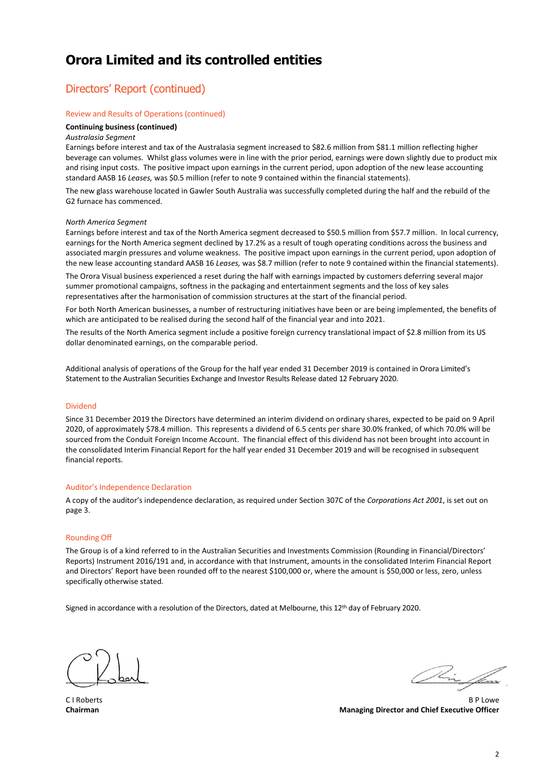### Directors' Report (continued)

#### Review and Results of Operations (continued)

### **Continuing business (continued)**

#### *Australasia Segment*

Earnings before interest and tax of the Australasia segment increased to \$82.6 million from \$81.1 million reflecting higher beverage can volumes. Whilst glass volumes were in line with the prior period, earnings were down slightly due to product mix and rising input costs. The positive impact upon earnings in the current period, upon adoption of the new lease accounting standard AASB 16 *Leases,* was \$0.5 million (refer to note 9 contained within the financial statements).

The new glass warehouse located in Gawler South Australia was successfully completed during the half and the rebuild of the G2 furnace has commenced.

#### *North America Segment*

Earnings before interest and tax of the North America segment decreased to \$50.5 million from \$57.7 million. In local currency, earnings for the North America segment declined by 17.2% as a result of tough operating conditions across the business and associated margin pressures and volume weakness. The positive impact upon earnings in the current period, upon adoption of the new lease accounting standard AASB 16 *Leases,* was \$8.7 million (refer to note 9 contained within the financial statements).

The Orora Visual business experienced a reset during the half with earnings impacted by customers deferring several major summer promotional campaigns, softness in the packaging and entertainment segments and the loss of key sales representatives after the harmonisation of commission structures at the start of the financial period.

For both North American businesses, a number of restructuring initiatives have been or are being implemented, the benefits of which are anticipated to be realised during the second half of the financial year and into 2021.

The results of the North America segment include a positive foreign currency translational impact of \$2.8 million from its US dollar denominated earnings, on the comparable period.

Additional analysis of operations of the Group for the half year ended 31 December 2019 is contained in Orora Limited's Statement to the Australian Securities Exchange and Investor Results Release dated 12 February 2020.

#### Dividend

Since 31 December 2019 the Directors have determined an interim dividend on ordinary shares, expected to be paid on 9 April 2020, of approximately \$78.4 million. This represents a dividend of 6.5 cents per share 30.0% franked, of which 70.0% will be sourced from the Conduit Foreign Income Account. The financial effect of this dividend has not been brought into account in the consolidated Interim Financial Report for the half year ended 31 December 2019 and will be recognised in subsequent financial reports.

#### Auditor's Independence Declaration

A copy of the auditor's independence declaration, as required under Section 307C of the *Corporations Act 2001*, is set out on page 3.

#### Rounding Off

The Group is of a kind referred to in the Australian Securities and Investments Commission (Rounding in Financial/Directors' Reports) Instrument 2016/191 and, in accordance with that Instrument, amounts in the consolidated Interim Financial Report and Directors' Report have been rounded off to the nearest \$100,000 or, where the amount is \$50,000 or less, zero, unless specifically otherwise stated.

Signed in accordance with a resolution of the Directors, dated at Melbourne, this 12th day of February 2020.

 $\sqrt{2\pi\int_{\ell,m}}$ 

C I Roberts B P Lowe **Chairman Managing Director and Chief Executive Officer**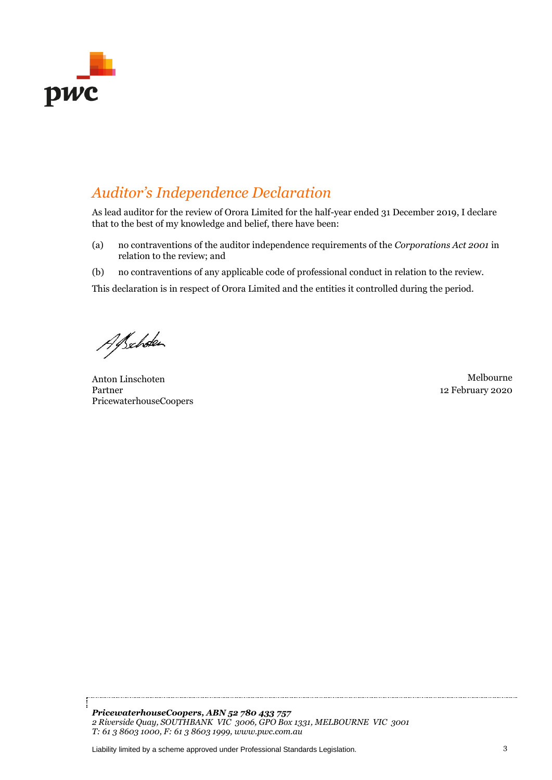

# *Auditor's Independence Declaration*

As lead auditor for the review of Orora Limited for the half-year ended 31 December 2019, I declare that to the best of my knowledge and belief, there have been:

- (a) no contraventions of the auditor independence requirements of the *Corporations Act 2001* in relation to the review; and
- (b) no contraventions of any applicable code of professional conduct in relation to the review.

This declaration is in respect of Orora Limited and the entities it controlled during the period.

Alscholen

Anton Linschoten Melbourne Partner PricewaterhouseCoopers

12 February 2020

*PricewaterhouseCoopers, ABN 52 780 433 757 2 Riverside Quay, SOUTHBANK VIC 3006, GPO Box 1331, MELBOURNE VIC 3001 T: 61 3 8603 1000, F: 61 3 8603 1999, www.pwc.com.au*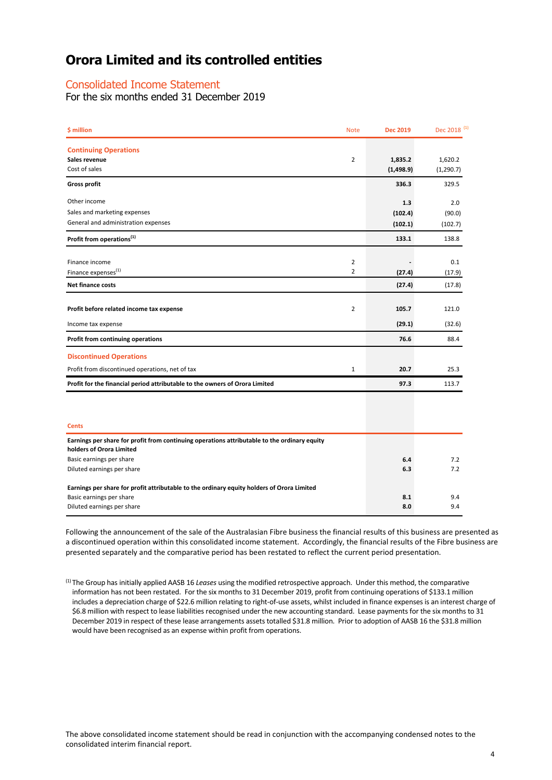### Consolidated Income Statement

For the six months ended 31 December 2019

| \$ million                                                                                   | <b>Note</b>    | <b>Dec 2019</b>    | Dec 2018 <sup>(1)</sup> |
|----------------------------------------------------------------------------------------------|----------------|--------------------|-------------------------|
| <b>Continuing Operations</b>                                                                 |                |                    |                         |
| Sales revenue<br>Cost of sales                                                               | $\overline{2}$ | 1,835.2            | 1,620.2                 |
| <b>Gross profit</b>                                                                          |                | (1,498.9)<br>336.3 | (1, 290.7)<br>329.5     |
|                                                                                              |                |                    |                         |
| Other income                                                                                 |                | 1.3                | 2.0                     |
| Sales and marketing expenses                                                                 |                | (102.4)            | (90.0)                  |
| General and administration expenses                                                          |                | (102.1)            | (102.7)                 |
| Profit from operations <sup>(1)</sup>                                                        |                | 133.1              | 138.8                   |
| Finance income                                                                               | $\overline{2}$ |                    | 0.1                     |
| Finance expenses <sup>(1)</sup>                                                              | $\overline{2}$ | (27.4)             | (17.9)                  |
| <b>Net finance costs</b>                                                                     |                | (27.4)             | (17.8)                  |
| Profit before related income tax expense                                                     | $\overline{2}$ | 105.7              | 121.0                   |
| Income tax expense                                                                           |                | (29.1)             | (32.6)                  |
| Profit from continuing operations                                                            |                | 76.6               | 88.4                    |
| <b>Discontinued Operations</b>                                                               |                |                    |                         |
| Profit from discontinued operations, net of tax                                              | $\mathbf{1}$   | 20.7               | 25.3                    |
| Profit for the financial period attributable to the owners of Orora Limited                  |                | 97.3               | 113.7                   |
|                                                                                              |                |                    |                         |
| <b>Cents</b>                                                                                 |                |                    |                         |
| Earnings per share for profit from continuing operations attributable to the ordinary equity |                |                    |                         |
| holders of Orora Limited                                                                     |                |                    |                         |
| Basic earnings per share                                                                     |                | 6.4                | 7.2                     |
| Diluted earnings per share                                                                   |                | 6.3                | 7.2                     |
| Earnings per share for profit attributable to the ordinary equity holders of Orora Limited   |                |                    |                         |
| Basic earnings per share                                                                     |                | 8.1                | 9.4                     |
| Diluted earnings per share                                                                   |                | 8.0                | 9.4                     |

Following the announcement of the sale of the Australasian Fibre business the financial results of this business are presented as a discontinued operation within this consolidated income statement. Accordingly, the financial results of the Fibre business are presented separately and the comparative period has been restated to reflect the current period presentation.

(1) The Group has initially applied AASB 16 *Leases* using the modified retrospective approach. Under this method, the comparative information has not been restated. For the six months to 31 December 2019, profit from continuing operations of \$133.1 million includes a depreciation charge of \$22.6 million relating to right-of-use assets, whilst included in finance expenses is an interest charge of \$6.8 million with respect to lease liabilities recognised under the new accounting standard. Lease payments for the six months to 31 December 2019 in respect of these lease arrangements assets totalled \$31.8 million. Prior to adoption of AASB 16 the \$31.8 million would have been recognised as an expense within profit from operations.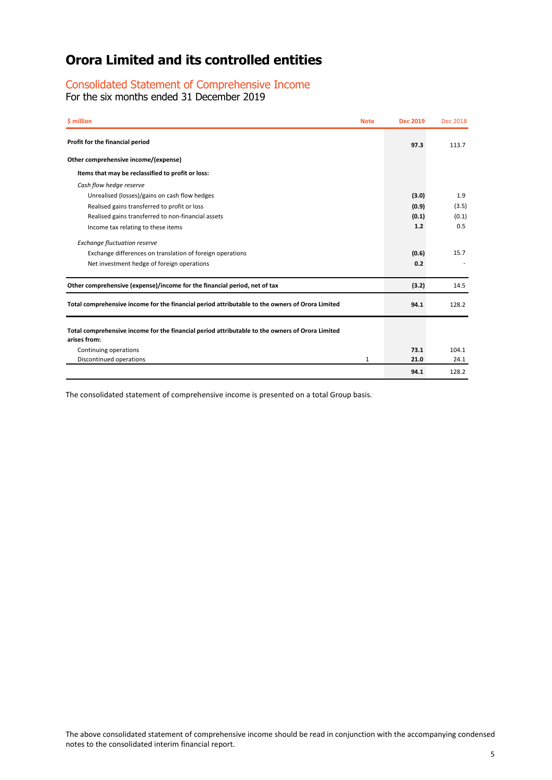### Consolidated Statement of Comprehensive Income

For the six months ended 31 December 2019

| \$ million                                                                                                      | <b>Note</b> | <b>Dec 2019</b> | Dec 2018 |
|-----------------------------------------------------------------------------------------------------------------|-------------|-----------------|----------|
| Profit for the financial period                                                                                 |             | 97.3            | 113.7    |
| Other comprehensive income/(expense)                                                                            |             |                 |          |
| Items that may be reclassified to profit or loss:                                                               |             |                 |          |
| Cash flow hedge reserve                                                                                         |             |                 |          |
| Unrealised (losses)/gains on cash flow hedges                                                                   |             | (3.0)           | 1.9      |
| Realised gains transferred to profit or loss                                                                    |             | (0.9)           | (3.5)    |
| Realised gains transferred to non-financial assets                                                              |             | (0.1)           | (0.1)    |
| Income tax relating to these items                                                                              |             | 1.2             | 0.5      |
| <b>Exchange fluctuation reserve</b>                                                                             |             |                 |          |
| Exchange differences on translation of foreign operations                                                       |             | (0.6)           | 15.7     |
| Net investment hedge of foreign operations                                                                      |             | 0.2             |          |
| Other comprehensive (expense)/income for the financial period, net of tax                                       |             | (3.2)           | 14.5     |
| Total comprehensive income for the financial period attributable to the owners of Orora Limited                 |             | 94.1            | 128.2    |
| Total comprehensive income for the financial period attributable to the owners of Orora Limited<br>arises from: |             |                 |          |
| Continuing operations                                                                                           |             | 73.1            | 104.1    |
| Discontinued operations                                                                                         | 1           | 21.0            | 24.1     |
|                                                                                                                 |             | 94.1            | 128.2    |

The consolidated statement of comprehensive income is presented on a total Group basis.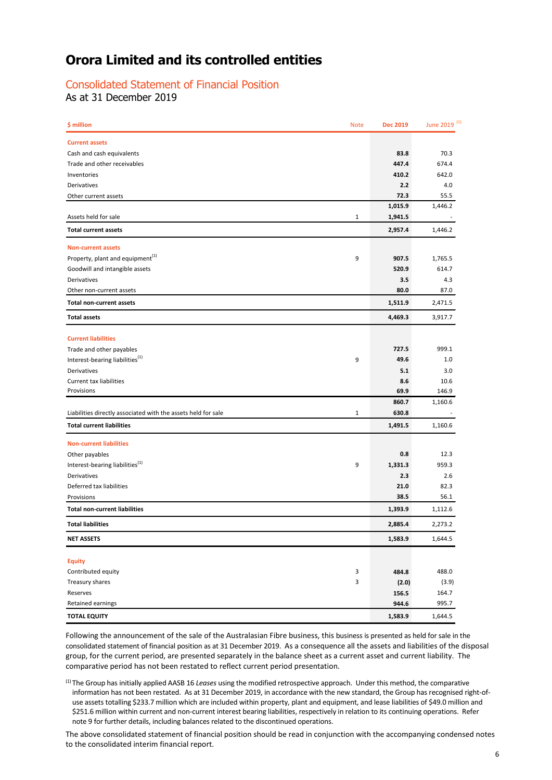### Consolidated Statement of Financial Position

As at 31 December 2019

| \$ million                                                    | <b>Note</b>  | <b>Dec 2019</b> | June 2019 <sup>(1)</sup> |
|---------------------------------------------------------------|--------------|-----------------|--------------------------|
| <b>Current assets</b>                                         |              |                 |                          |
| Cash and cash equivalents                                     |              | 83.8            | 70.3                     |
| Trade and other receivables                                   |              | 447.4           | 674.4                    |
| Inventories                                                   |              | 410.2           | 642.0                    |
| Derivatives                                                   |              | 2.2             | 4.0                      |
| Other current assets                                          |              | 72.3            | 55.5                     |
|                                                               |              | 1,015.9         | 1,446.2                  |
| Assets held for sale                                          | $\mathbf{1}$ | 1,941.5         |                          |
| <b>Total current assets</b>                                   |              | 2,957.4         | 1,446.2                  |
| <b>Non-current assets</b>                                     |              |                 |                          |
| Property, plant and equipment <sup>(1)</sup>                  | 9            | 907.5           | 1,765.5                  |
| Goodwill and intangible assets                                |              | 520.9           | 614.7                    |
| Derivatives                                                   |              | 3.5             | 4.3                      |
| Other non-current assets                                      |              | 80.0            | 87.0                     |
| <b>Total non-current assets</b>                               |              | 1,511.9         | 2,471.5                  |
| <b>Total assets</b>                                           |              | 4,469.3         | 3,917.7                  |
| <b>Current liabilities</b>                                    |              |                 |                          |
| Trade and other payables                                      |              | 727.5           | 999.1                    |
| Interest-bearing liabilities <sup>(1)</sup>                   | 9            | 49.6            | 1.0                      |
| Derivatives                                                   |              | 5.1             | 3.0                      |
| <b>Current tax liabilities</b>                                |              | 8.6             | 10.6                     |
| Provisions                                                    |              | 69.9            | 146.9                    |
|                                                               |              | 860.7           | 1,160.6                  |
| Liabilities directly associated with the assets held for sale | $\mathbf{1}$ | 630.8           |                          |
| <b>Total current liabilities</b>                              |              | 1,491.5         | 1,160.6                  |
| <b>Non-current liabilities</b>                                |              |                 |                          |
| Other payables                                                |              | 0.8             | 12.3                     |
| Interest-bearing liabilities <sup>(1)</sup>                   | 9            | 1,331.3         | 959.3                    |
| Derivatives                                                   |              | 2.3             | 2.6                      |
| Deferred tax liabilities                                      |              | 21.0            | 82.3                     |
| Provisions                                                    |              | 38.5            | 56.1                     |
| <b>Total non-current liabilities</b>                          |              | 1,393.9         | 1,112.6                  |
| <b>Total liabilities</b>                                      |              | 2,885.4         | 2,273.2                  |
| <b>NET ASSETS</b>                                             |              | 1,583.9         | 1,644.5                  |
| <b>Equity</b>                                                 |              |                 |                          |
| Contributed equity                                            | 3            | 484.8           | 488.0                    |
| Treasury shares                                               | 3            | (2.0)           | (3.9)                    |
| Reserves                                                      |              | 156.5           | 164.7                    |
| Retained earnings                                             |              | 944.6           | 995.7                    |
| <b>TOTAL EQUITY</b>                                           |              | 1,583.9         | 1,644.5                  |
|                                                               |              |                 |                          |

Following the announcement of the sale of the Australasian Fibre business, this business is presented as held for sale in the consolidated statement of financial position as at 31 December 2019. As a consequence all the assets and liabilities of the disposal group, for the current period, are presented separately in the balance sheet as a current asset and current liability. The comparative period has not been restated to reflect current period presentation.

(1) The Group has initially applied AASB 16 *Leases* using the modified retrospective approach. Under this method, the comparative information has not been restated. As at 31 December 2019, in accordance with the new standard, the Group has recognised right-ofuse assets totalling \$233.7 million which are included within property, plant and equipment, and lease liabilities of \$49.0 million and \$251.6 million within current and non-current interest bearing liabilities, respectively in relation to its continuing operations. Refer note 9 for further details, including balances related to the discontinued operations.

The above consolidated statement of financial position should be read in conjunction with the accompanying condensed notes to the consolidated interim financial report.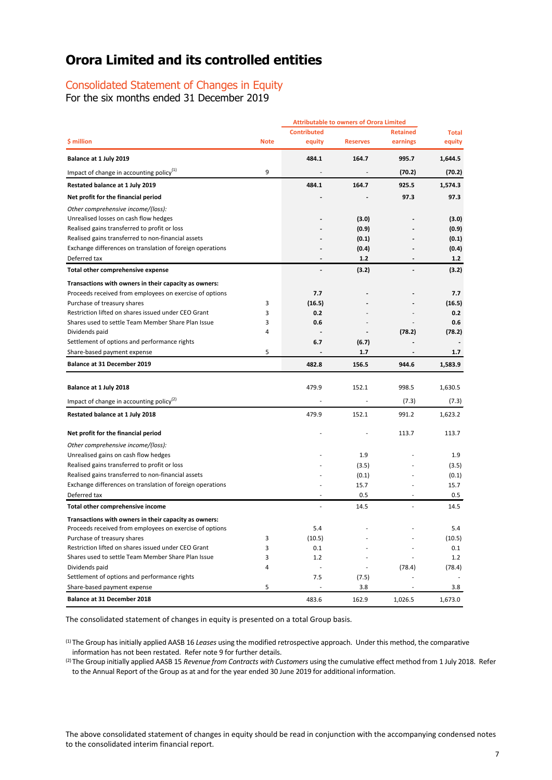### Consolidated Statement of Changes in Equity

For the six months ended 31 December 2019

|                                                           |             |                          | <b>Attributable to owners of Orora Limited</b> |                          |              |
|-----------------------------------------------------------|-------------|--------------------------|------------------------------------------------|--------------------------|--------------|
|                                                           |             | <b>Contributed</b>       |                                                | <b>Retained</b>          | <b>Total</b> |
| \$ million                                                | <b>Note</b> | equity                   | <b>Reserves</b>                                | earnings                 | equity       |
| Balance at 1 July 2019                                    |             | 484.1                    | 164.7                                          | 995.7                    | 1,644.5      |
| Impact of change in accounting policy $(1)$               | 9           |                          |                                                | (70.2)                   | (70.2)       |
| Restated balance at 1 July 2019                           |             | 484.1                    | 164.7                                          | 925.5                    | 1,574.3      |
| Net profit for the financial period                       |             |                          |                                                | 97.3                     | 97.3         |
| Other comprehensive income/(loss):                        |             |                          |                                                |                          |              |
| Unrealised losses on cash flow hedges                     |             |                          | (3.0)                                          |                          | (3.0)        |
| Realised gains transferred to profit or loss              |             |                          | (0.9)                                          |                          | (0.9)        |
| Realised gains transferred to non-financial assets        |             |                          | (0.1)                                          |                          | (0.1)        |
| Exchange differences on translation of foreign operations |             |                          | (0.4)                                          |                          | (0.4)        |
| Deferred tax                                              |             | $\overline{\phantom{a}}$ | 1.2                                            | $\overline{\phantom{a}}$ | 1.2          |
| Total other comprehensive expense                         |             |                          | (3.2)                                          | $\overline{\phantom{a}}$ | (3.2)        |
| Transactions with owners in their capacity as owners:     |             |                          |                                                |                          |              |
| Proceeds received from employees on exercise of options   |             | 7.7                      |                                                |                          | 7.7          |
| Purchase of treasury shares                               | 3           | (16.5)                   |                                                |                          | (16.5)       |
| Restriction lifted on shares issued under CEO Grant       | 3           | 0.2                      |                                                |                          | 0.2          |
| Shares used to settle Team Member Share Plan Issue        | 3           | 0.6                      |                                                |                          | 0.6          |
|                                                           | 4           |                          |                                                |                          |              |
| Dividends paid                                            |             |                          |                                                | (78.2)                   | (78.2)       |
| Settlement of options and performance rights              |             | 6.7                      | (6.7)                                          |                          |              |
| Share-based payment expense                               | 5           |                          | 1.7                                            |                          | 1.7          |
| <b>Balance at 31 December 2019</b>                        |             | 482.8                    | 156.5                                          | 944.6                    | 1,583.9      |
| Balance at 1 July 2018                                    |             | 479.9                    | 152.1                                          | 998.5                    | 1,630.5      |
| Impact of change in accounting policy <sup>(2)</sup>      |             |                          |                                                | (7.3)                    | (7.3)        |
|                                                           |             |                          |                                                |                          |              |
| Restated balance at 1 July 2018                           |             | 479.9                    | 152.1                                          | 991.2                    | 1,623.2      |
| Net profit for the financial period                       |             |                          |                                                | 113.7                    | 113.7        |
| Other comprehensive income/(loss):                        |             |                          |                                                |                          |              |
| Unrealised gains on cash flow hedges                      |             |                          | 1.9                                            |                          | 1.9          |
| Realised gains transferred to profit or loss              |             |                          | (3.5)                                          |                          | (3.5)        |
| Realised gains transferred to non-financial assets        |             |                          | (0.1)                                          |                          | (0.1)        |
| Exchange differences on translation of foreign operations |             |                          | 15.7                                           |                          | 15.7         |
| Deferred tax                                              |             |                          | 0.5                                            | ٠                        | 0.5          |
| Total other comprehensive income                          |             |                          | 14.5                                           |                          | 14.5         |
| Transactions with owners in their capacity as owners:     |             |                          |                                                |                          |              |
| Proceeds received from employees on exercise of options   |             | 5.4                      |                                                |                          | 5.4          |
| Purchase of treasury shares                               | 3           | (10.5)                   |                                                |                          | (10.5)       |
| Restriction lifted on shares issued under CEO Grant       | 3           | 0.1                      |                                                |                          | 0.1          |
| Shares used to settle Team Member Share Plan Issue        | 3           | 1.2                      |                                                |                          | 1.2          |
| Dividends paid                                            | 4           | $\overline{\phantom{a}}$ |                                                | (78.4)                   | (78.4)       |
| Settlement of options and performance rights              |             | 7.5                      | (7.5)                                          |                          |              |
|                                                           | 5           |                          |                                                |                          |              |
| Share-based payment expense                               |             |                          | 3.8                                            |                          | 3.8          |
| Balance at 31 December 2018                               |             | 483.6                    | 162.9                                          | 1,026.5                  | 1,673.0      |

The consolidated statement of changes in equity is presented on a total Group basis.

(1) The Group has initially applied AASB 16 *Leases* using the modified retrospective approach. Under this method, the comparative information has not been restated. Refer note 9 for further details.

(2)The Group initially applied AASB 15 *Revenue from Contracts with Customers* using the cumulative effect method from 1 July 2018. Refer to the Annual Report of the Group as at and for the year ended 30 June 2019 for additional information.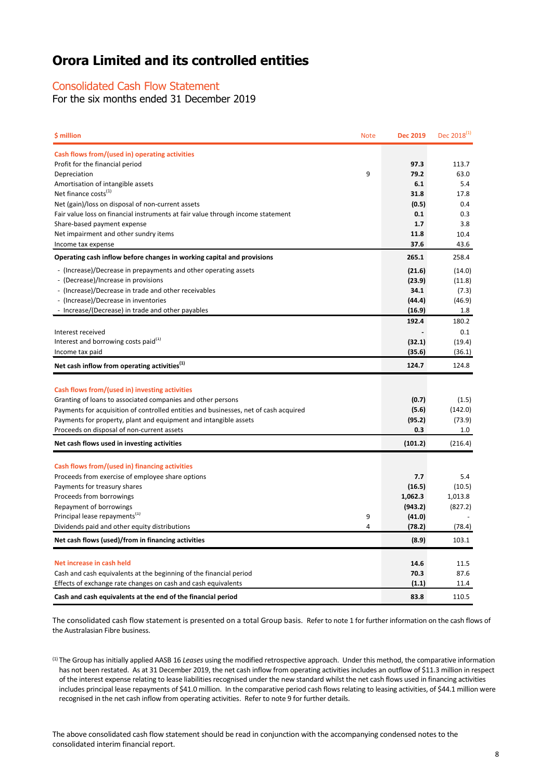### Consolidated Cash Flow Statement

For the six months ended 31 December 2019

| \$ million                                                                           | <b>Note</b> | <b>Dec 2019</b>  | Dec $2018^{(1)}$ |
|--------------------------------------------------------------------------------------|-------------|------------------|------------------|
| Cash flows from/(used in) operating activities                                       |             |                  |                  |
| Profit for the financial period                                                      |             | 97.3             | 113.7            |
| Depreciation                                                                         | 9           | 79.2             | 63.0             |
| Amortisation of intangible assets                                                    |             | 6.1              | 5.4              |
| Net finance costs <sup>(1)</sup>                                                     |             | 31.8             | 17.8             |
| Net (gain)/loss on disposal of non-current assets                                    |             | (0.5)            | 0.4              |
| Fair value loss on financial instruments at fair value through income statement      |             | 0.1              | 0.3              |
| Share-based payment expense                                                          |             | 1.7              | 3.8              |
| Net impairment and other sundry items                                                |             | 11.8             | 10.4             |
| Income tax expense                                                                   |             | 37.6             | 43.6             |
| Operating cash inflow before changes in working capital and provisions               |             | 265.1            | 258.4            |
| - (Increase)/Decrease in prepayments and other operating assets                      |             | (21.6)           | (14.0)           |
| - (Decrease)/Increase in provisions                                                  |             | (23.9)           | (11.8)           |
| - (Increase)/Decrease in trade and other receivables                                 |             | 34.1             | (7.3)            |
| - (Increase)/Decrease in inventories                                                 |             | (44.4)           | (46.9)           |
| - Increase/(Decrease) in trade and other payables                                    |             | (16.9)           | 1.8              |
|                                                                                      |             | 192.4            | 180.2            |
| Interest received                                                                    |             |                  | 0.1              |
| Interest and borrowing costs paid <sup>(1)</sup>                                     |             | (32.1)           | (19.4)           |
| Income tax paid                                                                      |             | (35.6)           | (36.1)           |
| Net cash inflow from operating activities <sup>(1)</sup>                             |             | 124.7            | 124.8            |
|                                                                                      |             |                  |                  |
| Cash flows from/(used in) investing activities                                       |             |                  |                  |
| Granting of loans to associated companies and other persons                          |             | (0.7)            | (1.5)            |
| Payments for acquisition of controlled entities and businesses, net of cash acquired |             | (5.6)            | (142.0)          |
| Payments for property, plant and equipment and intangible assets                     |             | (95.2)           | (73.9)           |
| Proceeds on disposal of non-current assets                                           |             | 0.3              | $1.0\,$          |
| Net cash flows used in investing activities                                          |             | (101.2)          | (216.4)          |
|                                                                                      |             |                  |                  |
| Cash flows from/(used in) financing activities                                       |             |                  |                  |
| Proceeds from exercise of employee share options                                     |             | 7.7              | 5.4              |
| Payments for treasury shares                                                         |             | (16.5)           | (10.5)           |
| Proceeds from borrowings                                                             |             | 1,062.3          | 1,013.8          |
| Repayment of borrowings<br>Principal lease repayments <sup>(1)</sup>                 | 9           | (943.2)          | (827.2)          |
| Dividends paid and other equity distributions                                        | 4           | (41.0)<br>(78.2) | (78.4)           |
|                                                                                      |             |                  |                  |
| Net cash flows (used)/from in financing activities                                   |             | (8.9)            | 103.1            |
| Net increase in cash held                                                            |             | 14.6             | 11.5             |
| Cash and cash equivalents at the beginning of the financial period                   |             | 70.3             | 87.6             |
| Effects of exchange rate changes on cash and cash equivalents                        |             | (1.1)            | 11.4             |
| Cash and cash equivalents at the end of the financial period                         |             | 83.8             | 110.5            |
|                                                                                      |             |                  |                  |

The consolidated cash flow statement is presented on a total Group basis. Refer to note 1 for further information on the cash flows of the Australasian Fibre business.

(1) The Group has initially applied AASB 16 *Leases* using the modified retrospective approach. Under this method, the comparative information has not been restated. As at 31 December 2019, the net cash inflow from operating activities includes an outflow of \$11.3 million in respect of the interest expense relating to lease liabilities recognised under the new standard whilst the net cash flows used in financing activities includes principal lease repayments of \$41.0 million. In the comparative period cash flows relating to leasing activities, of \$44.1 million were recognised in the net cash inflow from operating activities. Refer to note 9 for further details.

The above consolidated cash flow statement should be read in conjunction with the accompanying condensed notes to the consolidated interim financial report.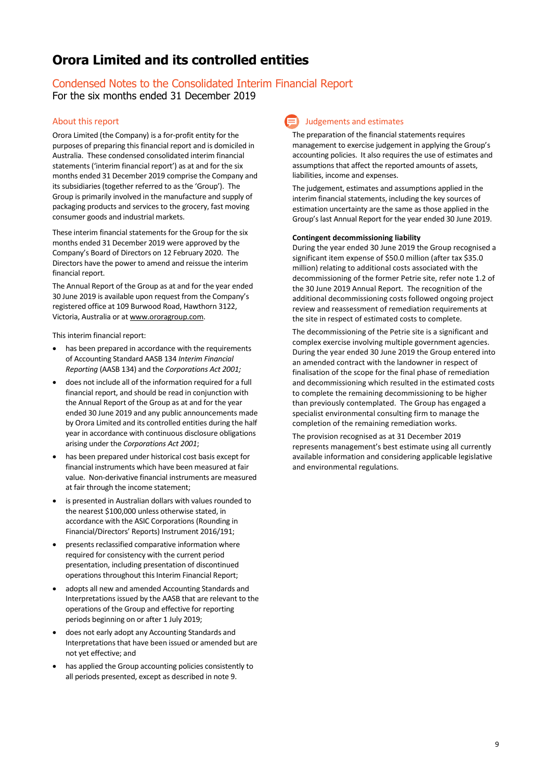## Condensed Notes to the Consolidated Interim Financial Report

For the six months ended 31 December 2019

### About this report

Orora Limited (the Company) is a for-profit entity for the purposes of preparing this financial report and is domiciled in Australia. These condensed consolidated interim financial statements ('interim financial report') as at and for the six months ended 31 December 2019 comprise the Company and its subsidiaries (together referred to as the 'Group'). The Group is primarily involved in the manufacture and supply of packaging products and services to the grocery, fast moving consumer goods and industrial markets.

These interim financial statements for the Group for the six months ended 31 December 2019 were approved by the Company's Board of Directors on 12 February 2020. The Directors have the power to amend and reissue the interim financial report.

The Annual Report of the Group as at and for the year ended 30 June 2019 is available upon request from the Company's registered office at 109 Burwood Road, Hawthorn 3122, Victoria, Australia or a[t www.ororagroup.com.](http://www.ororagroup.com/)

This interim financial report:

- has been prepared in accordance with the requirements of Accounting Standard AASB 134 *Interim Financial Reporting* (AASB 134) and the *Corporations Act 2001;*
- does not include all of the information required for a full financial report, and should be read in conjunction with the Annual Report of the Group as at and for the year ended 30 June 2019 and any public announcements made by Orora Limited and its controlled entities during the half year in accordance with continuous disclosure obligations arising under the *Corporations Act 2001*;
- has been prepared under historical cost basis except for financial instruments which have been measured at fair value. Non-derivative financial instruments are measured at fair through the income statement;
- is presented in Australian dollars with values rounded to the nearest \$100,000 unless otherwise stated, in accordance with the ASIC Corporations (Rounding in Financial/Directors' Reports) Instrument 2016/191;
- presents reclassified comparative information where required for consistency with the current period presentation, including presentation of discontinued operations throughout this Interim Financial Report;
- adopts all new and amended Accounting Standards and Interpretations issued by the AASB that are relevant to the operations of the Group and effective for reporting periods beginning on or after 1 July 2019;
- does not early adopt any Accounting Standards and Interpretations that have been issued or amended but are not yet effective; and
- has applied the Group accounting policies consistently to all periods presented, except as described in note 9.

### Judgements and estimates

The preparation of the financial statements requires management to exercise judgement in applying the Group's accounting policies. It also requires the use of estimates and assumptions that affect the reported amounts of assets, liabilities, income and expenses.

The judgement, estimates and assumptions applied in the interim financial statements, including the key sources of estimation uncertainty are the same as those applied in the Group's last Annual Report for the year ended 30 June 2019.

### **Contingent decommissioning liability**

During the year ended 30 June 2019 the Group recognised a significant item expense of \$50.0 million (after tax \$35.0 million) relating to additional costs associated with the decommissioning of the former Petrie site, refer note 1.2 of the 30 June 2019 Annual Report. The recognition of the additional decommissioning costs followed ongoing project review and reassessment of remediation requirements at the site in respect of estimated costs to complete.

The decommissioning of the Petrie site is a significant and complex exercise involving multiple government agencies. During the year ended 30 June 2019 the Group entered into an amended contract with the landowner in respect of finalisation of the scope for the final phase of remediation and decommissioning which resulted in the estimated costs to complete the remaining decommissioning to be higher than previously contemplated. The Group has engaged a specialist environmental consulting firm to manage the completion of the remaining remediation works.

The provision recognised as at 31 December 2019 represents management's best estimate using all currently available information and considering applicable legislative and environmental regulations.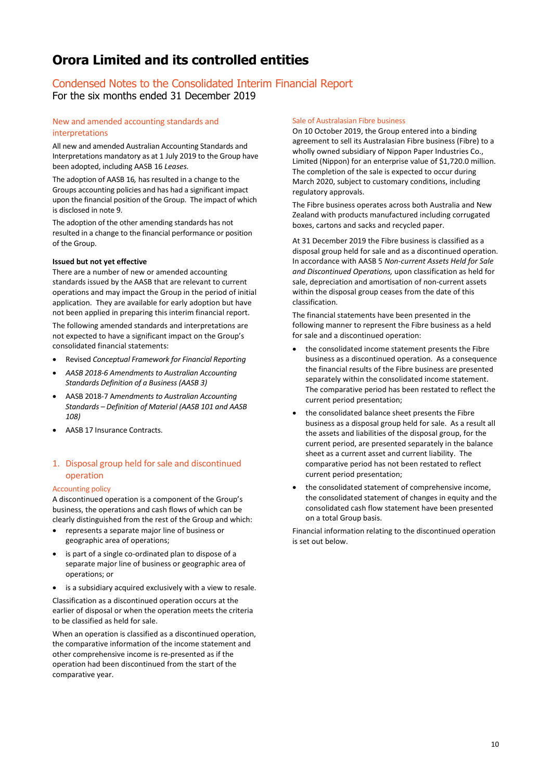### Condensed Notes to the Consolidated Interim Financial Report For the six months ended 31 December 2019

### New and amended accounting standards and interpretations

All new and amended Australian Accounting Standards and Interpretations mandatory as at 1 July 2019 to the Group have been adopted, including AASB 16 *Leases.*

The adoption of AASB 16*,* has resulted in a change to the Groups accounting policies and has had a significant impact upon the financial position of the Group. The impact of which is disclosed in note 9.

The adoption of the other amending standards has not resulted in a change to the financial performance or position of the Group.

### **Issued but not yet effective**

There are a number of new or amended accounting standards issued by the AASB that are relevant to current operations and may impact the Group in the period of initial application. They are available for early adoption but have not been applied in preparing this interim financial report.

The following amended standards and interpretations are not expected to have a significant impact on the Group's consolidated financial statements:

- Revised *Conceptual Framework for Financial Reporting*
- *AASB 2018-6 Amendments to Australian Accounting Standards Definition of a Business (AASB 3)*
- AASB 2018-7 A*mendments to Australian Accounting Standards – Definition of Material (AASB 101 and AASB 108)*
- AASB 17 Insurance Contracts.

### 1. Disposal group held for sale and discontinued operation

### Accounting policy

A discontinued operation is a component of the Group's business, the operations and cash flows of which can be clearly distinguished from the rest of the Group and which:

- represents a separate major line of business or geographic area of operations;
- is part of a single co-ordinated plan to dispose of a separate major line of business or geographic area of operations; or
- is a subsidiary acquired exclusively with a view to resale.

Classification as a discontinued operation occurs at the earlier of disposal or when the operation meets the criteria to be classified as held for sale.

When an operation is classified as a discontinued operation, the comparative information of the income statement and other comprehensive income is re-presented as if the operation had been discontinued from the start of the comparative year.

#### Sale of Australasian Fibre business

On 10 October 2019, the Group entered into a binding agreement to sell its Australasian Fibre business (Fibre) to a wholly owned subsidiary of Nippon Paper Industries Co., Limited (Nippon) for an enterprise value of \$1,720.0 million. The completion of the sale is expected to occur during March 2020, subject to customary conditions, including regulatory approvals.

The Fibre business operates across both Australia and New Zealand with products manufactured including corrugated boxes, cartons and sacks and recycled paper.

At 31 December 2019 the Fibre business is classified as a disposal group held for sale and as a discontinued operation. In accordance with AASB 5 *Non-current Assets Held for Sale and Discontinued Operations,* upon classification as held for sale, depreciation and amortisation of non-current assets within the disposal group ceases from the date of this classification.

The financial statements have been presented in the following manner to represent the Fibre business as a held for sale and a discontinued operation:

- the consolidated income statement presents the Fibre business as a discontinued operation. As a consequence the financial results of the Fibre business are presented separately within the consolidated income statement. The comparative period has been restated to reflect the current period presentation;
- the consolidated balance sheet presents the Fibre business as a disposal group held for sale. As a result all the assets and liabilities of the disposal group, for the current period, are presented separately in the balance sheet as a current asset and current liability. The comparative period has not been restated to reflect current period presentation;
- the consolidated statement of comprehensive income, the consolidated statement of changes in equity and the consolidated cash flow statement have been presented on a total Group basis.

Financial information relating to the discontinued operation is set out below.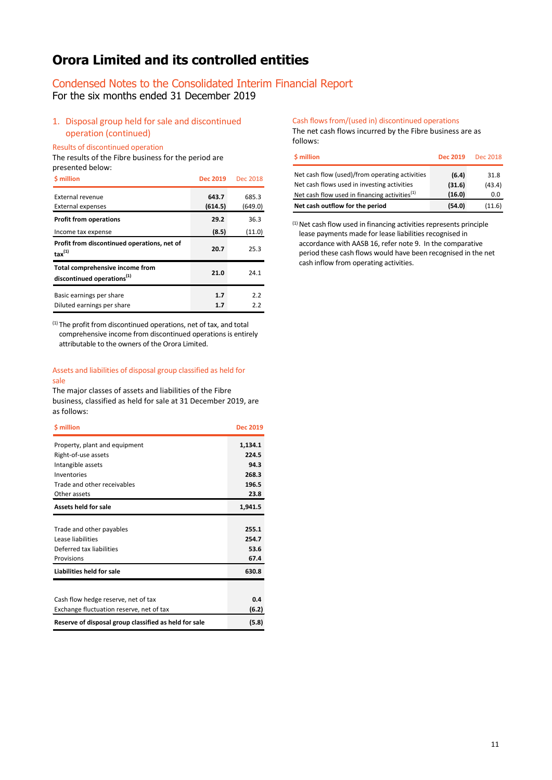### Condensed Notes to the Consolidated Interim Financial Report

For the six months ended 31 December 2019

### 1. Disposal group held for sale and discontinued operation (continued)

Results of discontinued operation

The results of the Fibre business for the period are presented below:

| <b>S</b> million                                                          | Dec 2019         | Dec 2018         |
|---------------------------------------------------------------------------|------------------|------------------|
| External revenue<br><b>External expenses</b>                              | 643.7<br>(614.5) | 685.3<br>(649.0) |
| <b>Profit from operations</b>                                             | 29.2             | 36.3             |
| Income tax expense                                                        | (8.5)            | (11.0)           |
| Profit from discontinued operations, net of<br>$\text{tax}^{(1)}$         | 20.7             | 25.3             |
| Total comprehensive income from<br>discontinued operations <sup>(1)</sup> | 21.0             | 24.1             |
| Basic earnings per share<br>Diluted earnings per share                    | 1.7<br>1.7       | 2.2<br>2.2       |

(1) The profit from discontinued operations, net of tax, and total comprehensive income from discontinued operations is entirely attributable to the owners of the Orora Limited.

#### Assets and liabilities of disposal group classified as held for sale

The major classes of assets and liabilities of the Fibre business, classified as held for sale at 31 December 2019, are as follows:

| \$ million                                            | <b>Dec 2019</b> |
|-------------------------------------------------------|-----------------|
| Property, plant and equipment                         | 1,134.1         |
| Right-of-use assets                                   | 224.5           |
| Intangible assets                                     | 94.3            |
| Inventories                                           | 268.3           |
| Trade and other receivables                           | 196.5           |
| Other assets                                          | 23.8            |
| <b>Assets held for sale</b>                           | 1,941.5         |
|                                                       |                 |
| Trade and other payables                              | 255.1           |
| Lease liabilities                                     | 254.7           |
| Deferred tax liabilities                              | 53.6            |
| Provisions                                            | 67.4            |
| Liabilities held for sale                             | 630.8           |
|                                                       |                 |
| Cash flow hedge reserve, net of tax                   | 0.4             |
| Exchange fluctuation reserve, net of tax              | (6.2)           |
| Reserve of disposal group classified as held for sale | (5.8)           |

Cash flows from/(used in) discontinued operations The net cash flows incurred by the Fibre business are as follows:

| \$ million                                       | Dec 2019 | Dec 2018 |
|--------------------------------------------------|----------|----------|
| Net cash flow (used)/from operating activities   | (6.4)    | 31.8     |
| Net cash flows used in investing activities      | (31.6)   | (43.4)   |
| Net cash flow used in financing activities $(1)$ | (16.0)   | 0.0      |
| Net cash outflow for the period                  | (54.0)   | (11.6)   |

 $(1)$  Net cash flow used in financing activities represents principle lease payments made for lease liabilities recognised in accordance with AASB 16, refer note 9. In the comparative period these cash flows would have been recognised in the net cash inflow from operating activities.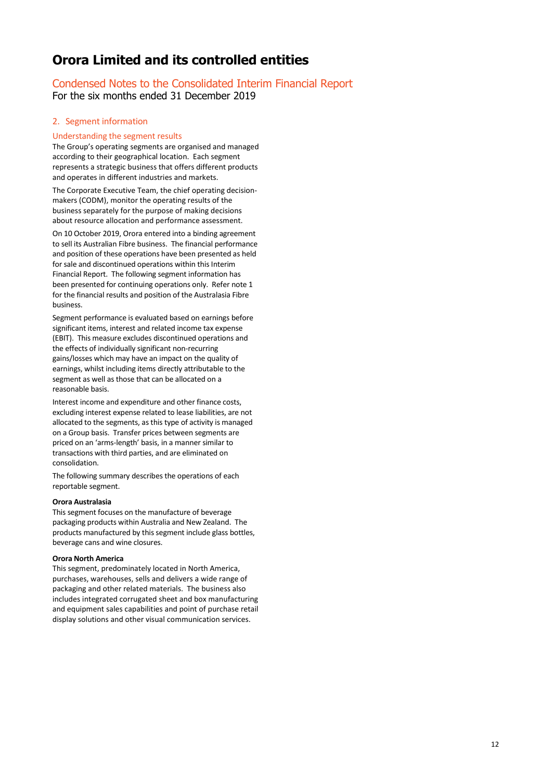# Condensed Notes to the Consolidated Interim Financial Report

For the six months ended 31 December 2019

### 2. Segment information

### Understanding the segment results

The Group's operating segments are organised and managed according to their geographical location. Each segment represents a strategic business that offers different products and operates in different industries and markets.

The Corporate Executive Team, the chief operating decisionmakers (CODM), monitor the operating results of the business separately for the purpose of making decisions about resource allocation and performance assessment.

On 10 October 2019, Orora entered into a binding agreement to sell its Australian Fibre business. The financial performance and position of these operations have been presented as held for sale and discontinued operations within this Interim Financial Report. The following segment information has been presented for continuing operations only. Refer note 1 for the financial results and position of the Australasia Fibre business.

Segment performance is evaluated based on earnings before significant items, interest and related income tax expense (EBIT). This measure excludes discontinued operations and the effects of individually significant non-recurring gains/losses which may have an impact on the quality of earnings, whilst including items directly attributable to the segment as well as those that can be allocated on a reasonable basis.

Interest income and expenditure and other finance costs, excluding interest expense related to lease liabilities, are not allocated to the segments, as this type of activity is managed on a Group basis. Transfer prices between segments are priced on an 'arms-length' basis, in a manner similar to transactions with third parties, and are eliminated on consolidation.

The following summary describes the operations of each reportable segment.

### **Orora Australasia**

This segment focuses on the manufacture of beverage packaging products within Australia and New Zealand. The products manufactured by this segment include glass bottles, beverage cans and wine closures.

### **Orora North America**

This segment, predominately located in North America, purchases, warehouses, sells and delivers a wide range of packaging and other related materials. The business also includes integrated corrugated sheet and box manufacturing and equipment sales capabilities and point of purchase retail display solutions and other visual communication services.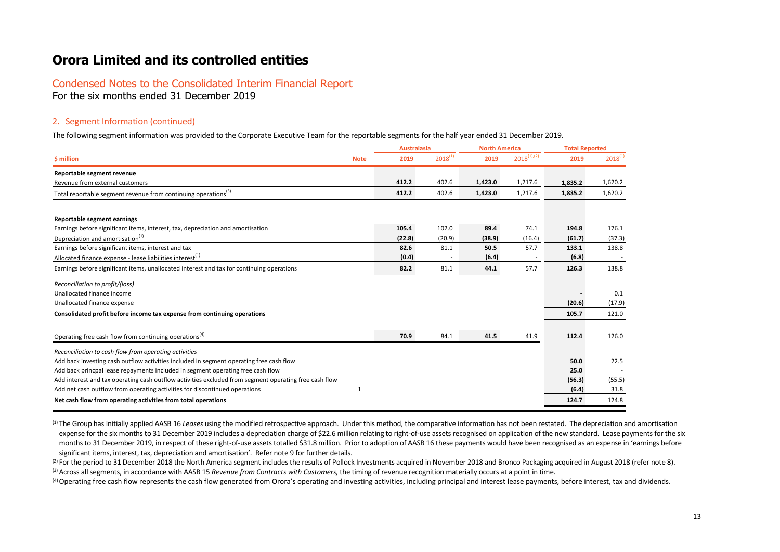### Condensed Notes to the Consolidated Interim Financial Report For the six months ended 31 December 2019

### 2. Segment Information (continued)

The following segment information was provided to the Corporate Executive Team for the reportable segments for the half year ended 31 December 2019.

|                                                                                                       |             | <b>Australasia</b> |              | <b>North America</b> |                  | <b>Total Reported</b> |              |
|-------------------------------------------------------------------------------------------------------|-------------|--------------------|--------------|----------------------|------------------|-----------------------|--------------|
| \$ million                                                                                            | <b>Note</b> | 2019               | $2018^{(1)}$ | 2019                 | $2018^{(1),(2)}$ | 2019                  | $2018^{(1)}$ |
| Reportable segment revenue                                                                            |             |                    |              |                      |                  |                       |              |
| Revenue from external customers                                                                       | 412.2       |                    | 402.6        | 1,423.0              | 1,217.6          | 1,835.2               | 1,620.2      |
| Total reportable segment revenue from continuing operations <sup>(3)</sup>                            | 412.2       |                    | 402.6        | 1,423.0              | 1,217.6          | 1,835.2               | 1,620.2      |
| Reportable segment earnings                                                                           |             |                    |              |                      |                  |                       |              |
| Earnings before significant items, interest, tax, depreciation and amortisation                       | 105.4       |                    | 102.0        | 89.4                 | 74.1             | 194.8                 | 176.1        |
| Depreciation and amortisation <sup>(1)</sup>                                                          |             | (22.8)             | (20.9)       | (38.9)               | (16.4)           | (61.7)                | (37.3)       |
| Earnings before significant items, interest and tax                                                   |             | 82.6               | 81.1         | 50.5                 | 57.7             | 133.1                 | 138.8        |
| Allocated finance expense - lease liabilities interest <sup>(1)</sup>                                 |             | (0.4)              |              | (6.4)                |                  | (6.8)                 |              |
| Earnings before significant items, unallocated interest and tax for continuing operations             |             | 82.2               | 81.1         | 44.1                 | 57.7             | 126.3                 | 138.8        |
| Reconciliation to profit/(loss)                                                                       |             |                    |              |                      |                  |                       |              |
| Unallocated finance income                                                                            |             |                    |              |                      |                  |                       | 0.1          |
| Unallocated finance expense                                                                           |             |                    |              |                      |                  | (20.6)                | (17.9)       |
| Consolidated profit before income tax expense from continuing operations                              |             |                    |              |                      |                  | 105.7                 | 121.0        |
| Operating free cash flow from continuing operations <sup>(4)</sup>                                    |             | 70.9               | 84.1         | 41.5                 | 41.9             | 112.4                 | 126.0        |
| Reconciliation to cash flow from operating activities                                                 |             |                    |              |                      |                  |                       |              |
| Add back investing cash outflow activities included in segment operating free cash flow               |             |                    |              |                      |                  | 50.0                  | 22.5         |
| Add back princpal lease repayments included in segment operating free cash flow                       |             |                    |              |                      |                  | 25.0                  |              |
| Add interest and tax operating cash outflow activities excluded from segment operating free cash flow |             |                    |              |                      |                  | (56.3)                | (55.5)       |
| Add net cash outflow from operating activities for discontinued operations                            | 1           |                    |              |                      |                  | (6.4)                 | 31.8         |
| Net cash flow from operating activities from total operations                                         |             |                    |              |                      |                  | 124.7                 | 124.8        |

(1) The Group has initially applied AASB 16 *Leases* using the modified retrospective approach. Under this method, the comparative information has not been restated. The depreciation and amortisation expense for the six months to 31 December 2019 includes a depreciation charge of \$22.6 million relating to right-of-use assets recognised on application of the new standard. Lease payments for the six months to 31 December 2019, in respect of these right-of-use assets totalled \$31.8 million. Prior to adoption of AASB 16 these payments would have been recognised as an expense in 'earnings before significant items, interest, tax, depreciation and amortisation'. Refer note 9 for further details.

(2) For the period to 31 December 2018 the North America segment includes the results of Pollock Investments acquired in November 2018 and Bronco Packaging acquired in August 2018 (refer note 8). <sup>(3)</sup> Across all segments, in accordance with AASB 15 *Revenue from Contracts with Customers*, the timing of revenue recognition materially occurs at a point in time.

(4) Operating free cash flow represents the cash flow generated from Orora's operating and investing activities, including principal and interest lease payments, before interest, tax and dividends.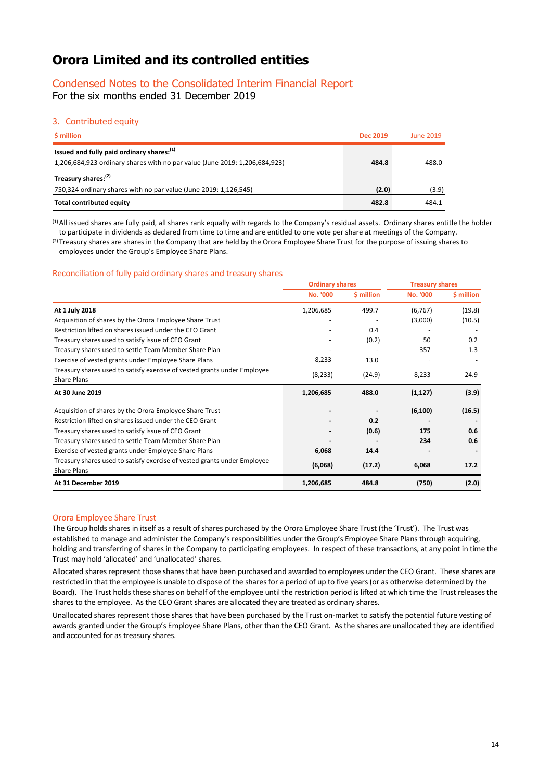### Condensed Notes to the Consolidated Interim Financial Report

For the six months ended 31 December 2019

### 3. Contributed equity

| \$ million                                                                                                               | <b>Dec 2019</b> | <b>June 2019</b> |
|--------------------------------------------------------------------------------------------------------------------------|-----------------|------------------|
| Issued and fully paid ordinary shares: [1]<br>1,206,684,923 ordinary shares with no par value (June 2019: 1,206,684,923) | 484.8           | 488.0            |
| Treasury shares: <sup>(2)</sup>                                                                                          |                 |                  |
| 750,324 ordinary shares with no par value (June 2019: 1,126,545)                                                         | (2.0)           | (3.9)            |
| <b>Total contributed equity</b>                                                                                          | 482.8           | 484.1            |

(1) All issued shares are fully paid, all shares rank equally with regards to the Company's residual assets. Ordinary shares entitle the holder to participate in dividends as declared from time to time and are entitled to one vote per share at meetings of the Company. <sup>(2)</sup>Treasury shares are shares in the Company that are held by the Orora Employee Share Trust for the purpose of issuing shares to

employees under the Group's Employee Share Plans.

### Reconciliation of fully paid ordinary shares and treasury shares

|                                                                                                | <b>Ordinary shares</b>   |            | <b>Treasury shares</b> |            |  |
|------------------------------------------------------------------------------------------------|--------------------------|------------|------------------------|------------|--|
|                                                                                                | <b>No. '000</b>          | \$ million | <b>No. '000</b>        | \$ million |  |
| At 1 July 2018                                                                                 | 1,206,685                | 499.7      | (6, 767)               | (19.8)     |  |
| Acquisition of shares by the Orora Employee Share Trust                                        |                          |            | (3,000)                | (10.5)     |  |
| Restriction lifted on shares issued under the CEO Grant                                        |                          | 0.4        |                        |            |  |
| Treasury shares used to satisfy issue of CEO Grant                                             | $\overline{\phantom{a}}$ | (0.2)      | 50                     | 0.2        |  |
| Treasury shares used to settle Team Member Share Plan                                          |                          |            | 357                    | 1.3        |  |
| Exercise of vested grants under Employee Share Plans                                           | 8,233                    | 13.0       |                        |            |  |
| Treasury shares used to satisfy exercise of vested grants under Employee<br><b>Share Plans</b> | (8, 233)                 | (24.9)     | 8,233                  | 24.9       |  |
| At 30 June 2019                                                                                | 1,206,685                | 488.0      | (1, 127)               | (3.9)      |  |
| Acquisition of shares by the Orora Employee Share Trust                                        |                          |            | (6, 100)               | (16.5)     |  |
| Restriction lifted on shares issued under the CEO Grant                                        |                          | 0.2        |                        |            |  |
| Treasury shares used to satisfy issue of CEO Grant                                             |                          | (0.6)      | 175                    | 0.6        |  |
| Treasury shares used to settle Team Member Share Plan                                          |                          |            | 234                    | 0.6        |  |
| Exercise of vested grants under Employee Share Plans                                           | 6,068                    | 14.4       |                        |            |  |
| Treasury shares used to satisfy exercise of vested grants under Employee<br><b>Share Plans</b> | (6,068)                  | (17.2)     | 6,068                  | 17.2       |  |
| At 31 December 2019                                                                            | 1,206,685                | 484.8      | (750)                  | (2.0)      |  |

### Orora Employee Share Trust

The Group holds shares in itself as a result of shares purchased by the Orora Employee Share Trust (the 'Trust'). The Trust was established to manage and administer the Company's responsibilities under the Group's Employee Share Plans through acquiring, holding and transferring of shares in the Company to participating employees. In respect of these transactions, at any point in time the Trust may hold 'allocated' and 'unallocated' shares.

Allocated shares represent those shares that have been purchased and awarded to employees under the CEO Grant. These shares are restricted in that the employee is unable to dispose of the shares for a period of up to five years (or as otherwise determined by the Board). The Trust holds these shares on behalf of the employee until the restriction period is lifted at which time the Trust releases the shares to the employee. As the CEO Grant shares are allocated they are treated as ordinary shares.

Unallocated shares represent those shares that have been purchased by the Trust on-market to satisfy the potential future vesting of awards granted under the Group's Employee Share Plans, other than the CEO Grant. As the shares are unallocated they are identified and accounted for as treasury shares.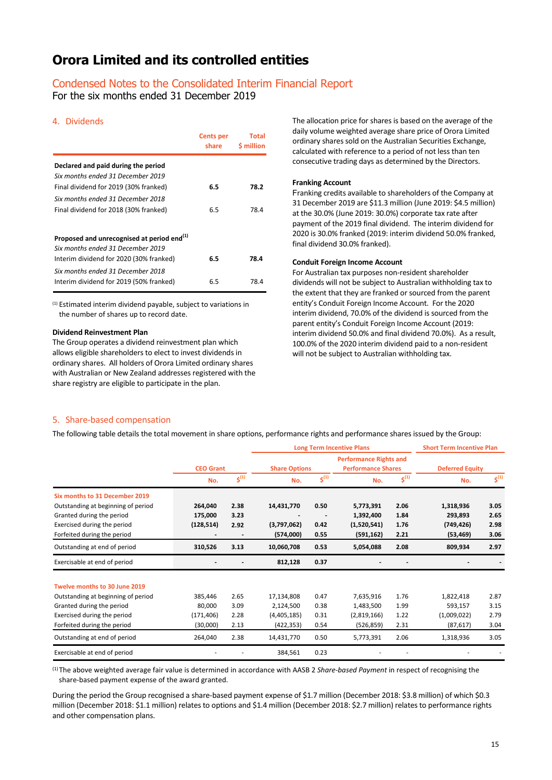### Condensed Notes to the Consolidated Interim Financial Report

For the six months ended 31 December 2019

### 4. Dividends

|                                                        | <b>Cents per</b><br>share | Total<br><b>S</b> million |
|--------------------------------------------------------|---------------------------|---------------------------|
| Declared and paid during the period                    |                           |                           |
| Six months ended 31 December 2019                      |                           |                           |
| Final dividend for 2019 (30% franked)                  | 6.5                       | 78.2                      |
| Six months ended 31 December 2018                      |                           |                           |
| Final dividend for 2018 (30% franked)                  | 6.5                       | 78.4                      |
|                                                        |                           |                           |
| Proposed and unrecognised at period end <sup>(1)</sup> |                           |                           |
| Six months ended 31 December 2019                      |                           |                           |
| Interim dividend for 2020 (30% franked)                | 6.5                       | 78.4                      |
| Six months ended 31 December 2018                      |                           |                           |
| Interim dividend for 2019 (50% franked)                | 6.5                       | 78.4                      |

(1) Estimated interim dividend payable, subject to variations in the number of shares up to record date.

### **Dividend Reinvestment Plan**

The Group operates a dividend reinvestment plan which allows eligible shareholders to elect to invest dividends in ordinary shares. All holders of Orora Limited ordinary shares with Australian or New Zealand addresses registered with the share registry are eligible to participate in the plan.

The allocation price for shares is based on the average of the daily volume weighted average share price of Orora Limited ordinary shares sold on the Australian Securities Exchange, calculated with reference to a period of not less than ten consecutive trading days as determined by the Directors.

#### **Franking Account**

Franking credits available to shareholders of the Company at 31 December 2019 are \$11.3 million (June 2019: \$4.5 million) at the 30.0% (June 2019: 30.0%) corporate tax rate after payment of the 2019 final dividend. The interim dividend for 2020 is 30.0% franked (2019: interim dividend 50.0% franked, final dividend 30.0% franked).

#### **Conduit Foreign Income Account**

For Australian tax purposes non-resident shareholder dividends will not be subject to Australian withholding tax to the extent that they are franked or sourced from the parent entity's Conduit Foreign Income Account. For the 2020 interim dividend, 70.0% of the dividend is sourced from the parent entity's Conduit Foreign Income Account (2019: interim dividend 50.0% and final dividend 70.0%). As a result, 100.0% of the 2020 interim dividend paid to a non-resident will not be subject to Australian withholding tax.

### 5. Share-based compensation

The following table details the total movement in share options, performance rights and performance shares issued by the Group:

|                                    |                  |                              |                      |           | <b>Long Term Incentive Plans</b>                           |           | <b>Short Term Incentive Plan</b> |           |
|------------------------------------|------------------|------------------------------|----------------------|-----------|------------------------------------------------------------|-----------|----------------------------------|-----------|
|                                    | <b>CEO Grant</b> |                              | <b>Share Options</b> |           | <b>Performance Rights and</b><br><b>Performance Shares</b> |           | <b>Deferred Equity</b>           |           |
|                                    | No.              | $5^{(1)}$                    | No.                  | $5^{(1)}$ | No.                                                        | $5^{(1)}$ | No.                              | $5^{(1)}$ |
| Six months to 31 December 2019     |                  |                              |                      |           |                                                            |           |                                  |           |
| Outstanding at beginning of period | 264,040          | 2.38                         | 14,431,770           | 0.50      | 5,773,391                                                  | 2.06      | 1,318,936                        | 3.05      |
| Granted during the period          | 175,000          | 3.23                         |                      |           | 1,392,400                                                  | 1.84      | 293,893                          | 2.65      |
| Exercised during the period        | (128, 514)       | 2.92                         | (3,797,062)          | 0.42      | (1,520,541)                                                | 1.76      | (749, 426)                       | 2.98      |
| Forfeited during the period        |                  | $\qquad \qquad \blacksquare$ | (574,000)            | 0.55      | (591, 162)                                                 | 2.21      | (53, 469)                        | 3.06      |
| Outstanding at end of period       | 310,526          | 3.13                         | 10,060,708           | 0.53      | 5,054,088                                                  | 2.08      | 809,934                          | 2.97      |
| Exercisable at end of period       |                  |                              | 812,128              | 0.37      |                                                            |           |                                  |           |
| Twelve months to 30 June 2019      |                  |                              |                      |           |                                                            |           |                                  |           |
| Outstanding at beginning of period | 385,446          | 2.65                         | 17,134,808           | 0.47      | 7,635,916                                                  | 1.76      | 1,822,418                        | 2.87      |
| Granted during the period          | 80,000           | 3.09                         | 2,124,500            | 0.38      | 1,483,500                                                  | 1.99      | 593,157                          | 3.15      |
| Exercised during the period        | (171, 406)       | 2.28                         | (4,405,185)          | 0.31      | (2,819,166)                                                | 1.22      | (1,009,022)                      | 2.79      |
| Forfeited during the period        | (30,000)         | 2.13                         | (422,353)            | 0.54      | (526, 859)                                                 | 2.31      | (87, 617)                        | 3.04      |
| Outstanding at end of period       | 264,040          | 2.38                         | 14,431,770           | 0.50      | 5,773,391                                                  | 2.06      | 1,318,936                        | 3.05      |
| Exercisable at end of period       |                  |                              | 384,561              | 0.23      |                                                            |           |                                  |           |

(1)The above weighted average fair value is determined in accordance with AASB 2 *Share-based Payment* in respect of recognising the share-based payment expense of the award granted.

During the period the Group recognised a share-based payment expense of \$1.7 million (December 2018: \$3.8 million) of which \$0.3 million (December 2018: \$1.1 million) relates to options and \$1.4 million (December 2018: \$2.7 million) relates to performance rights and other compensation plans.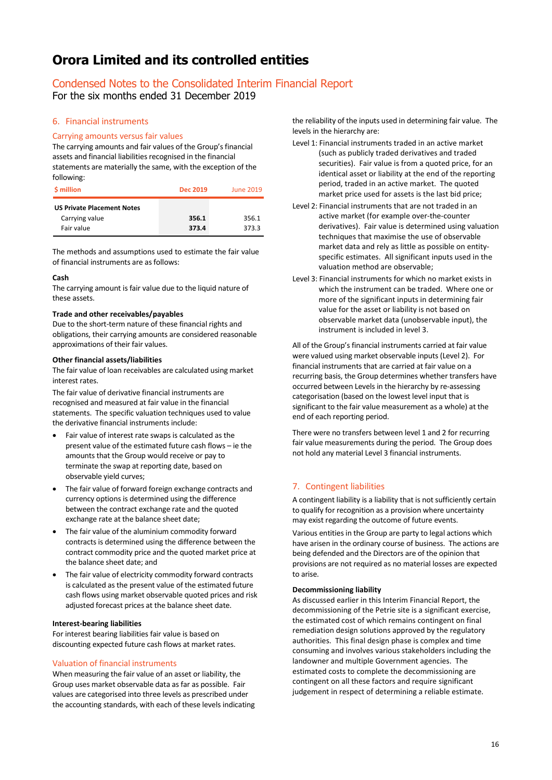### Condensed Notes to the Consolidated Interim Financial Report

For the six months ended 31 December 2019

### 6. Financial instruments

### Carrying amounts versus fair values

The carrying amounts and fair values of the Group's financial assets and financial liabilities recognised in the financial statements are materially the same, with the exception of the following:

| \$ million                                          | Dec 2019 | <b>June 2019</b> |
|-----------------------------------------------------|----------|------------------|
| <b>US Private Placement Notes</b><br>Carrying value | 356.1    | 356.1            |
| Fair value                                          | 373.4    | 373.3            |

The methods and assumptions used to estimate the fair value of financial instruments are as follows:

### **Cash**

The carrying amount is fair value due to the liquid nature of these assets.

### **Trade and other receivables/payables**

Due to the short-term nature of these financial rights and obligations, their carrying amounts are considered reasonable approximations of their fair values.

### **Other financial assets/liabilities**

The fair value of loan receivables are calculated using market interest rates.

The fair value of derivative financial instruments are recognised and measured at fair value in the financial statements. The specific valuation techniques used to value the derivative financial instruments include:

- Fair value of interest rate swaps is calculated as the present value of the estimated future cash flows – ie the amounts that the Group would receive or pay to terminate the swap at reporting date, based on observable yield curves;
- The fair value of forward foreign exchange contracts and currency options is determined using the difference between the contract exchange rate and the quoted exchange rate at the balance sheet date;
- The fair value of the aluminium commodity forward contracts is determined using the difference between the contract commodity price and the quoted market price at the balance sheet date; and
- The fair value of electricity commodity forward contracts is calculated as the present value of the estimated future cash flows using market observable quoted prices and risk adjusted forecast prices at the balance sheet date.

### **Interest-bearing liabilities**

For interest bearing liabilities fair value is based on discounting expected future cash flows at market rates.

### Valuation of financial instruments

When measuring the fair value of an asset or liability, the Group uses market observable data as far as possible. Fair values are categorised into three levels as prescribed under the accounting standards, with each of these levels indicating the reliability of the inputs used in determining fair value. The levels in the hierarchy are:

- Level 1: Financial instruments traded in an active market (such as publicly traded derivatives and traded securities). Fair value is from a quoted price, for an identical asset or liability at the end of the reporting period, traded in an active market. The quoted market price used for assets is the last bid price;
- Level 2: Financial instruments that are not traded in an active market (for example over-the-counter derivatives). Fair value is determined using valuation techniques that maximise the use of observable market data and rely as little as possible on entityspecific estimates. All significant inputs used in the valuation method are observable;
- Level 3: Financial instruments for which no market exists in which the instrument can be traded. Where one or more of the significant inputs in determining fair value for the asset or liability is not based on observable market data (unobservable input), the instrument is included in level 3.

All of the Group's financial instruments carried at fair value were valued using market observable inputs (Level 2). For financial instruments that are carried at fair value on a recurring basis, the Group determines whether transfers have occurred between Levels in the hierarchy by re-assessing categorisation (based on the lowest level input that is significant to the fair value measurement as a whole) at the end of each reporting period.

There were no transfers between level 1 and 2 for recurring fair value measurements during the period. The Group does not hold any material Level 3 financial instruments.

### 7. Contingent liabilities

A contingent liability is a liability that is not sufficiently certain to qualify for recognition as a provision where uncertainty may exist regarding the outcome of future events.

Various entities in the Group are party to legal actions which have arisen in the ordinary course of business. The actions are being defended and the Directors are of the opinion that provisions are not required as no material losses are expected to arise.

### **Decommissioning liability**

As discussed earlier in this Interim Financial Report, the decommissioning of the Petrie site is a significant exercise, the estimated cost of which remains contingent on final remediation design solutions approved by the regulatory authorities. This final design phase is complex and time consuming and involves various stakeholders including the landowner and multiple Government agencies. The estimated costs to complete the decommissioning are contingent on all these factors and require significant judgement in respect of determining a reliable estimate.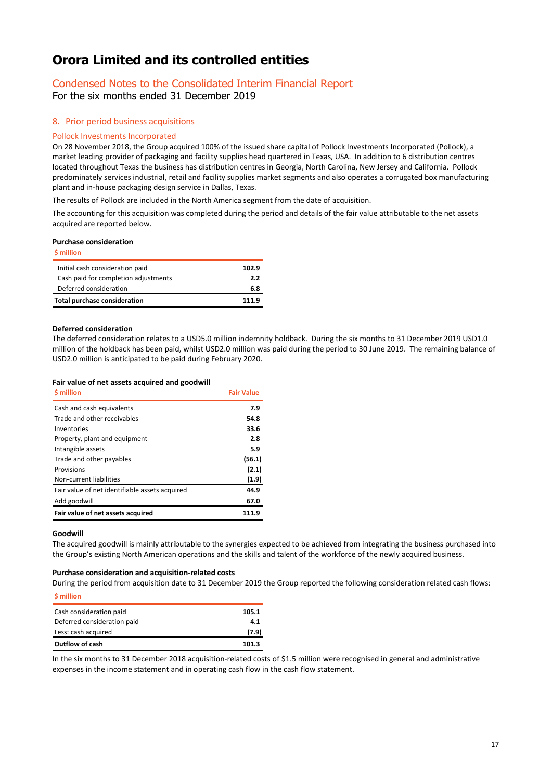## Condensed Notes to the Consolidated Interim Financial Report

For the six months ended 31 December 2019

### 8. Prior period business acquisitions

### Pollock Investments Incorporated

On 28 November 2018, the Group acquired 100% of the issued share capital of Pollock Investments Incorporated (Pollock), a market leading provider of packaging and facility supplies head quartered in Texas, USA. In addition to 6 distribution centres located throughout Texas the business has distribution centres in Georgia, North Carolina, New Jersey and California. Pollock predominately services industrial, retail and facility supplies market segments and also operates a corrugated box manufacturing plant and in-house packaging design service in Dallas, Texas.

The results of Pollock are included in the North America segment from the date of acquisition.

The accounting for this acquisition was completed during the period and details of the fair value attributable to the net assets acquired are reported below.

### **Purchase consideration**

| <b>S</b> million                     |       |
|--------------------------------------|-------|
| Initial cash consideration paid      | 102.9 |
| Cash paid for completion adjustments | 2.2   |
| Deferred consideration               | 6.8   |
| Total purchase consideration         | 111.9 |

#### **Deferred consideration**

The deferred consideration relates to a USD5.0 million indemnity holdback. During the six months to 31 December 2019 USD1.0 million of the holdback has been paid, whilst USD2.0 million was paid during the period to 30 June 2019. The remaining balance of USD2.0 million is anticipated to be paid during February 2020.

#### **Fair value of net assets acquired and goodwill**

| <b>S</b> million                               | <b>Fair Value</b> |
|------------------------------------------------|-------------------|
| Cash and cash equivalents                      | 7.9               |
| Trade and other receivables                    | 54.8              |
| Inventories                                    | 33.6              |
| Property, plant and equipment                  | 2.8               |
| Intangible assets                              | 5.9               |
| Trade and other payables                       | (56.1)            |
| Provisions                                     | (2.1)             |
| Non-current liabilities                        | (1.9)             |
| Fair value of net identifiable assets acquired | 44.9              |
| Add goodwill                                   | 67.0              |
| Fair value of net assets acquired              | 111.9             |

#### **Goodwill**

The acquired goodwill is mainly attributable to the synergies expected to be achieved from integrating the business purchased into the Group's existing North American operations and the skills and talent of the workforce of the newly acquired business.

#### **Purchase consideration and acquisition-related costs**

During the period from acquisition date to 31 December 2019 the Group reported the following consideration related cash flows: **\$ million**

| Cash consideration paid     | 105.1 |
|-----------------------------|-------|
| Deferred consideration paid | 4.1   |
| Less: cash acquired         | (7.9) |
| Outflow of cash             | 101.3 |

In the six months to 31 December 2018 acquisition-related costs of \$1.5 million were recognised in general and administrative expenses in the income statement and in operating cash flow in the cash flow statement.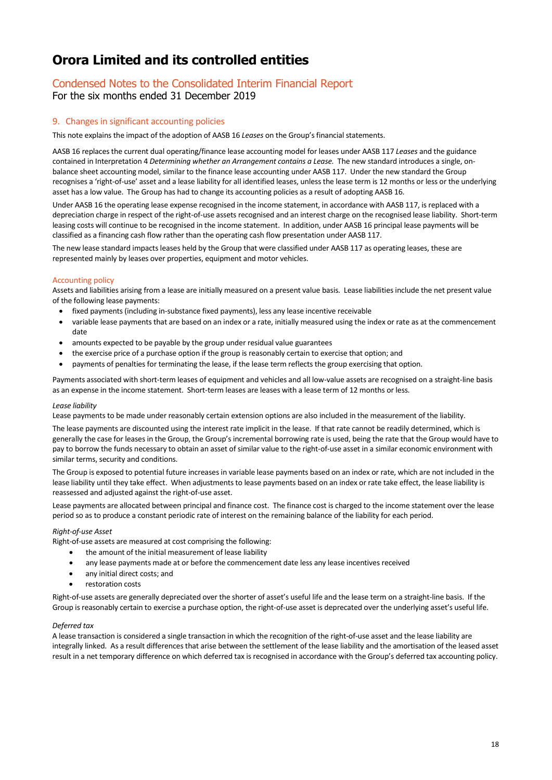### Condensed Notes to the Consolidated Interim Financial Report For the six months ended 31 December 2019

### 9. Changes in significant accounting policies

This note explains the impact of the adoption of AASB 16 *Leases* on the Group's financial statements.

AASB 16 replacesthe current dual operating/finance lease accounting model for leases under AASB 117 *Leases* and the guidance contained in Interpretation 4 *Determining whether an Arrangement contains a Lease.* The new standard introduces a single, onbalance sheet accounting model, similar to the finance lease accounting under AASB 117. Under the new standard the Group recognises a 'right-of-use' asset and a lease liability for all identified leases, unless the lease term is 12 months or less or the underlying asset has a low value. The Group has had to change its accounting policies as a result of adopting AASB 16.

Under AASB 16 the operating lease expense recognised in the income statement, in accordance with AASB 117, is replaced with a depreciation charge in respect of the right-of-use assets recognised and an interest charge on the recognised lease liability. Short-term leasing costs will continue to be recognised in the income statement. In addition, under AASB 16 principal lease payments will be classified as a financing cash flow rather than the operating cash flow presentation under AASB 117.

The new lease standard impactsleases held by the Group that were classified under AASB 117 as operating leases, these are represented mainly by leases over properties, equipment and motor vehicles.

### Accounting policy

Assets and liabilities arising from a lease are initially measured on a present value basis. Lease liabilities include the net present value of the following lease payments:

- fixed payments (including in-substance fixed payments), less any lease incentive receivable
- variable lease payments that are based on an index or a rate, initially measured using the index or rate as at the commencement date
- amounts expected to be payable by the group under residual value guarantees
- the exercise price of a purchase option if the group is reasonably certain to exercise that option; and
- payments of penalties for terminating the lease, if the lease term reflects the group exercising that option.

Payments associated with short-term leases of equipment and vehicles and all low-value assets are recognised on a straight-line basis as an expense in the income statement. Short-term leases are leases with a lease term of 12 months or less.

### *Lease liability*

Lease payments to be made under reasonably certain extension options are also included in the measurement of the liability.

The lease payments are discounted using the interest rate implicit in the lease. If that rate cannot be readily determined, which is generally the case for leases in the Group, the Group's incremental borrowing rate is used, being the rate that the Group would have to pay to borrow the funds necessary to obtain an asset of similar value to the right-of-use asset in a similar economic environment with similar terms, security and conditions.

The Group is exposed to potential future increases in variable lease payments based on an index or rate, which are not included in the lease liability until they take effect. When adjustments to lease payments based on an index or rate take effect, the lease liability is reassessed and adjusted against the right-of-use asset.

Lease payments are allocated between principal and finance cost. The finance cost is charged to the income statement over the lease period so as to produce a constant periodic rate of interest on the remaining balance of the liability for each period.

### *Right-of-use Asset*

Right-of-use assets are measured at cost comprising the following:

- the amount of the initial measurement of lease liability
- any lease payments made at or before the commencement date less any lease incentives received
- any initial direct costs; and
- restoration costs

Right-of-use assets are generally depreciated over the shorter of asset's useful life and the lease term on a straight-line basis. If the Group is reasonably certain to exercise a purchase option, the right-of-use asset is deprecated over the underlying asset's useful life.

### *Deferred tax*

A lease transaction is considered a single transaction in which the recognition of the right-of-use asset and the lease liability are integrally linked. As a result differences that arise between the settlement of the lease liability and the amortisation of the leased asset result in a net temporary difference on which deferred tax is recognised in accordance with the Group's deferred tax accounting policy.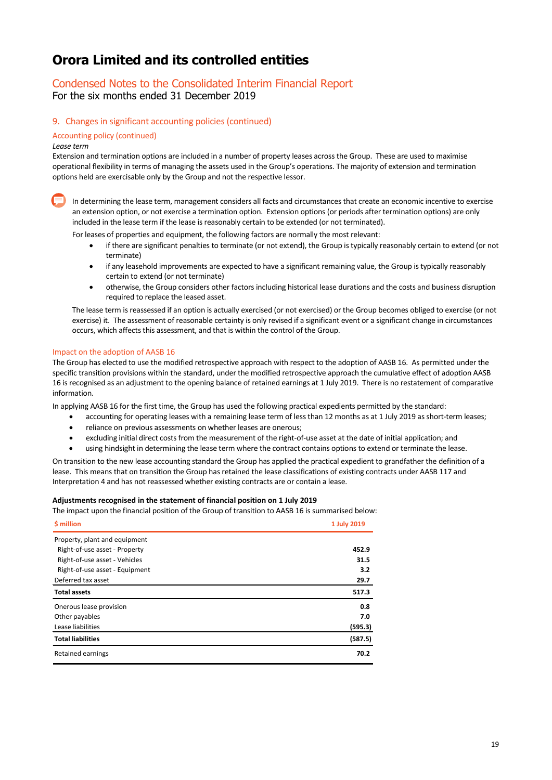# Condensed Notes to the Consolidated Interim Financial Report

For the six months ended 31 December 2019

### 9. Changes in significant accounting policies (continued)

### Accounting policy (continued)

#### *Lease term*

Extension and termination options are included in a number of property leases across the Group. These are used to maximise operational flexibility in terms of managing the assets used in the Group's operations. The majority of extension and termination options held are exercisable only by the Group and not the respective lessor.

In determining the lease term, management considers all facts and circumstances that create an economic incentive to exercise an extension option, or not exercise a termination option. Extension options (or periods after termination options) are only included in the lease term if the lease is reasonably certain to be extended (or not terminated).

For leases of properties and equipment, the following factors are normally the most relevant:

- if there are significant penalties to terminate (or not extend), the Group is typically reasonably certain to extend (or not terminate)
- if any leasehold improvements are expected to have a significant remaining value, the Group is typically reasonably certain to extend (or not terminate)
- otherwise, the Group considers other factors including historical lease durations and the costs and business disruption required to replace the leased asset.

The lease term is reassessed if an option is actually exercised (or not exercised) or the Group becomes obliged to exercise (or not exercise) it. The assessment of reasonable certainty is only revised if a significant event or a significant change in circumstances occurs, which affects this assessment, and that is within the control of the Group.

### Impact on the adoption of AASB 16

The Group has elected to use the modified retrospective approach with respect to the adoption of AASB 16. As permitted under the specific transition provisions within the standard, under the modified retrospective approach the cumulative effect of adoption AASB 16 is recognised as an adjustment to the opening balance of retained earnings at 1 July 2019. There is no restatement of comparative information.

In applying AASB 16 for the first time, the Group has used the following practical expedients permitted by the standard:

- accounting for operating leases with a remaining lease term of less than 12 months as at 1 July 2019 as short-term leases;
- reliance on previous assessments on whether leases are onerous;
- excluding initial direct costs from the measurement of the right-of-use asset at the date of initial application; and
- using hindsight in determining the lease term where the contract contains options to extend or terminate the lease.

On transition to the new lease accounting standard the Group has applied the practical expedient to grandfather the definition of a lease. This means that on transition the Group has retained the lease classifications of existing contracts under AASB 117 and Interpretation 4 and has not reassessed whether existing contracts are or contain a lease.

#### **Adjustments recognised in the statement of financial position on 1 July 2019**

The impact upon the financial position of the Group of transition to AASB 16 is summarised below:

| \$ million                     | 1 July 2019 |
|--------------------------------|-------------|
| Property, plant and equipment  |             |
| Right-of-use asset - Property  | 452.9       |
| Right-of-use asset - Vehicles  | 31.5        |
| Right-of-use asset - Equipment | 3.2         |
| Deferred tax asset             | 29.7        |
| <b>Total assets</b>            | 517.3       |
| Onerous lease provision        | 0.8         |
| Other payables                 | 7.0         |
| Lease liabilities              | (595.3)     |
| <b>Total liabilities</b>       | (587.5)     |
| Retained earnings              | 70.2        |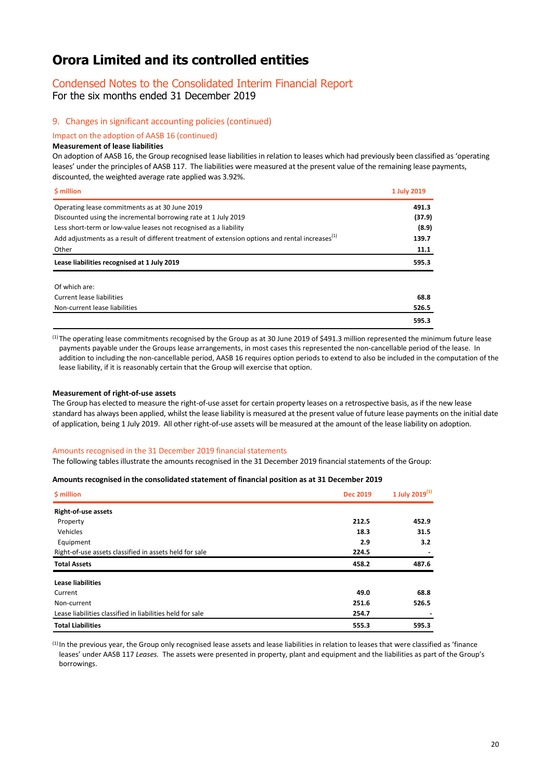### Condensed Notes to the Consolidated Interim Financial Report

For the six months ended 31 December 2019

### 9. Changes in significant accounting policies (continued)

Impact on the adoption of AASB 16 (continued)

### **Measurement of lease liabilities**

On adoption of AASB 16, the Group recognised lease liabilities in relation to leases which had previously been classified as 'operating leases' under the principles of AASB 117. The liabilities were measured at the present value of the remaining lease payments, discounted, the weighted average rate applied was 3.92%.

| \$ million                                                                                                  | 1 July 2019 |
|-------------------------------------------------------------------------------------------------------------|-------------|
| Operating lease commitments as at 30 June 2019                                                              | 491.3       |
| Discounted using the incremental borrowing rate at 1 July 2019                                              | (37.9)      |
| Less short-term or low-value leases not recognised as a liability                                           | (8.9)       |
| Add adjustments as a result of different treatment of extension options and rental increases <sup>(1)</sup> | 139.7       |
| Other                                                                                                       | 11.1        |
| Lease liabilities recognised at 1 July 2019                                                                 | 595.3       |
| Of which are:                                                                                               |             |
| <b>Current lease liabilities</b>                                                                            | 68.8        |
| Non-current lease liabilities                                                                               | 526.5       |
|                                                                                                             | 595.3       |

 $<sup>(1)</sup>$  The operating lease commitments recognised by the Group as at 30 June 2019 of \$491.3 million represented the minimum future lease</sup> payments payable under the Groups lease arrangements, in most cases this represented the non-cancellable period of the lease. In addition to including the non-cancellable period, AASB 16 requires option periods to extend to also be included in the computation of the lease liability, if it is reasonably certain that the Group will exercise that option.

#### **Measurement of right-of-use assets**

The Group has elected to measure the right-of-use asset for certain property leases on a retrospective basis, as if the new lease standard has always been applied, whilst the lease liability is measured at the present value of future lease payments on the initial date of application, being 1 July 2019. All other right-of-use assets will be measured at the amount of the lease liability on adoption.

#### Amounts recognised in the 31 December 2019 financial statements

The following tables illustrate the amounts recognised in the 31 December 2019 financial statements of the Group:

#### **Amounts recognised in the consolidated statement of financial position as at 31 December 2019**

| \$ million                                                | <b>Dec 2019</b> | 1 July 2019 $^{(1)}$ |  |
|-----------------------------------------------------------|-----------------|----------------------|--|
| <b>Right-of-use assets</b>                                |                 |                      |  |
| Property                                                  | 212.5           | 452.9                |  |
| Vehicles                                                  | 18.3            | 31.5                 |  |
| Equipment                                                 | 2.9             | 3.2                  |  |
| Right-of-use assets classified in assets held for sale    | 224.5           |                      |  |
| <b>Total Assets</b>                                       | 458.2           | 487.6                |  |
| <b>Lease liabilities</b>                                  |                 |                      |  |
| Current                                                   | 49.0            | 68.8                 |  |
| Non-current                                               | 251.6           | 526.5                |  |
| Lease liabilities classified in liabilities held for sale | 254.7           |                      |  |
| <b>Total Liabilities</b>                                  | 555.3           | 595.3                |  |

(1) In the previous year, the Group only recognised lease assets and lease liabilities in relation to leases that were classified as 'finance leases' under AASB 117 *Leases.* The assets were presented in property, plant and equipment and the liabilities as part of the Group's borrowings.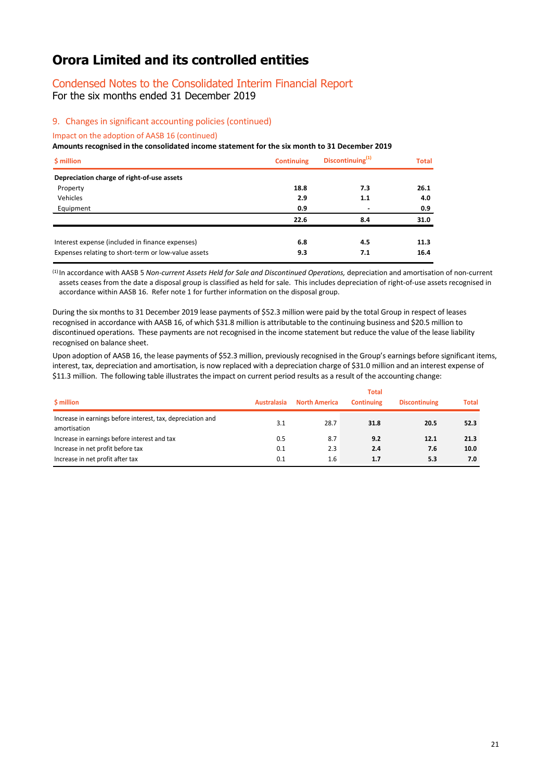### Condensed Notes to the Consolidated Interim Financial Report For the six months ended 31 December 2019

### 9. Changes in significant accounting policies (continued)

Impact on the adoption of AASB 16 (continued)

#### **Amounts recognised in the consolidated income statement for the six month to 31 December 2019**

| \$ million                                          | <b>Continuing</b> | Discontinuing <sup>(1)</sup> | <b>Total</b> |  |
|-----------------------------------------------------|-------------------|------------------------------|--------------|--|
| Depreciation charge of right-of-use assets          |                   |                              |              |  |
| Property                                            | 18.8              | 7.3                          | 26.1         |  |
| Vehicles                                            | 2.9               | 1.1                          | 4.0          |  |
| Equipment                                           | 0.9               |                              | 0.9          |  |
|                                                     | 22.6              | 8.4                          | 31.0         |  |
| Interest expense (included in finance expenses)     | 6.8               | 4.5                          | 11.3         |  |
| Expenses relating to short-term or low-value assets | 9.3               | 7.1                          | 16.4         |  |

(1) In accordance with AASB 5 *Non-current Assets Held for Sale and Discontinued Operations,* depreciation and amortisation of non-current assets ceases from the date a disposal group is classified as held for sale. This includes depreciation of right-of-use assets recognised in accordance within AASB 16. Refer note 1 for further information on the disposal group.

During the six months to 31 December 2019 lease payments of \$52.3 million were paid by the total Group in respect of leases recognised in accordance with AASB 16, of which \$31.8 million is attributable to the continuing business and \$20.5 million to discontinued operations. These payments are not recognised in the income statement but reduce the value of the lease liability recognised on balance sheet.

Upon adoption of AASB 16, the lease payments of \$52.3 million, previously recognised in the Group's earnings before significant items, interest, tax, depreciation and amortisation, is now replaced with a depreciation charge of \$31.0 million and an interest expense of \$11.3 million. The following table illustrates the impact on current period results as a result of the accounting change:

|                                                                             |                    |                      | <b>Total</b>      |                      |              |
|-----------------------------------------------------------------------------|--------------------|----------------------|-------------------|----------------------|--------------|
| \$ million                                                                  | <b>Australasia</b> | <b>North America</b> | <b>Continuing</b> | <b>Discontinuing</b> | <b>Total</b> |
| Increase in earnings before interest, tax, depreciation and<br>amortisation | 3.1                | 28.7                 | 31.8              | 20.5                 | 52.3         |
| Increase in earnings before interest and tax                                | 0.5                | 8.7                  | 9.2               | 12.1                 | 21.3         |
| Increase in net profit before tax                                           | 0.1                | 2.3                  | 2.4               | 7.6                  | 10.0         |
| Increase in net profit after tax                                            | 0.1                | 1.6                  | 1.7               | 5.3                  | 7.0          |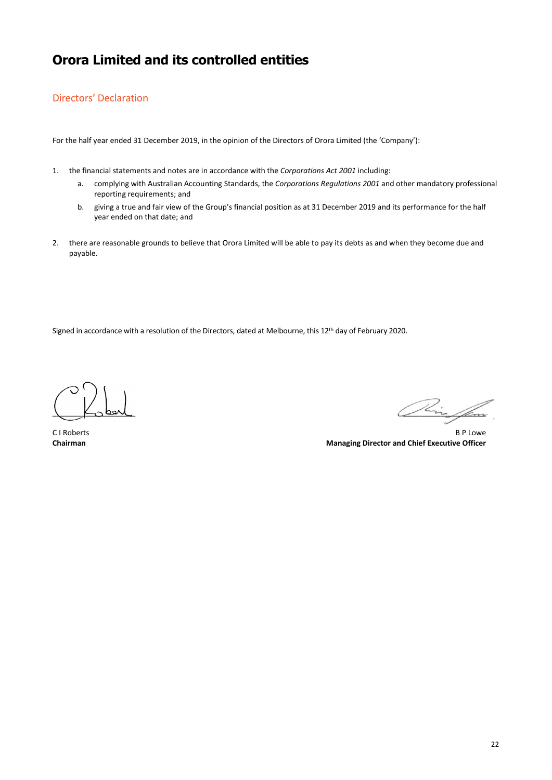### Directors' Declaration

For the half year ended 31 December 2019, in the opinion of the Directors of Orora Limited (the 'Company'):

- 1. the financial statements and notes are in accordance with the *Corporations Act 2001* including:
	- a. complying with Australian Accounting Standards, the *Corporations Regulations 2001* and other mandatory professional reporting requirements; and
	- b. giving a true and fair view of the Group's financial position as at 31 December 2019 and its performance for the half year ended on that date; and
- 2. there are reasonable grounds to believe that Orora Limited will be able to pay its debts as and when they become due and payable.

Signed in accordance with a resolution of the Directors, dated at Melbourne, this 12<sup>th</sup> day of February 2020.

 $\sqrt{2}$ 

C I Roberts **B P Lowe Chairman Managing Director and Chief Executive Officer Chairman Managing Director and Chief Executive Officer**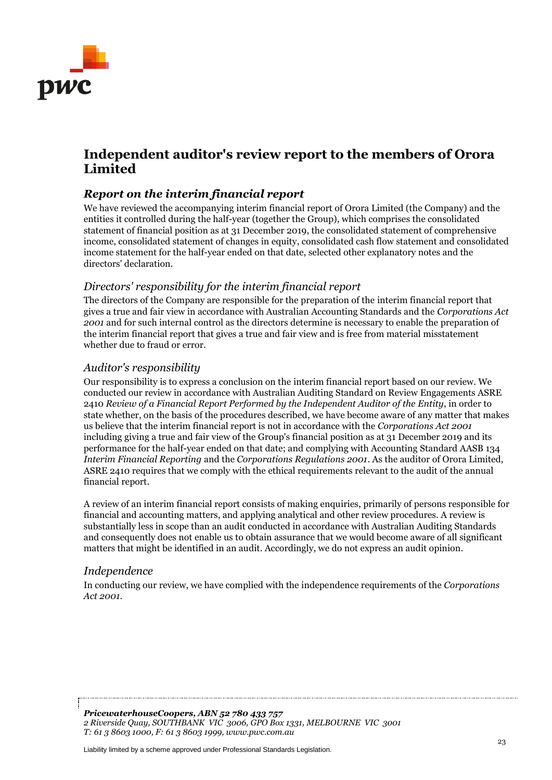

# **Independent auditor's review report to the members of Orora Limited**

### *Report on the interim financial report*

We have reviewed the accompanying interim financial report of Orora Limited (the Company) and the entities it controlled during the half-year (together the Group), which comprises the consolidated statement of financial position as at 31 December 2019, the consolidated statement of comprehensive income, consolidated statement of changes in equity, consolidated cash flow statement and consolidated income statement for the half-year ended on that date, selected other explanatory notes and the directors' declaration.

### *Directors' responsibility for the interim financial report*

The directors of the Company are responsible for the preparation of the interim financial report that gives a true and fair view in accordance with Australian Accounting Standards and the *Corporations Act 2001* and for such internal control as the directors determine is necessary to enable the preparation of the interim financial report that gives a true and fair view and is free from material misstatement whether due to fraud or error.

### *Auditor's responsibility*

Our responsibility is to express a conclusion on the interim financial report based on our review. We conducted our review in accordance with Australian Auditing Standard on Review Engagements ASRE 2410 *Review of a Financial Report Performed by the Independent Auditor of the Entity*, in order to state whether, on the basis of the procedures described, we have become aware of any matter that makes us believe that the interim financial report is not in accordance with the *Corporations Act 2001* including giving a true and fair view of the Group's financial position as at 31 December 2019 and its performance for the half-year ended on that date; and complying with Accounting Standard AASB 134 *Interim Financial Reporting* and the *Corporations Regulations 2001*. As the auditor of Orora Limited, ASRE 2410 requires that we comply with the ethical requirements relevant to the audit of the annual financial report.

A review of an interim financial report consists of making enquiries, primarily of persons responsible for financial and accounting matters, and applying analytical and other review procedures. A review is substantially less in scope than an audit conducted in accordance with Australian Auditing Standards and consequently does not enable us to obtain assurance that we would become aware of all significant matters that might be identified in an audit. Accordingly, we do not express an audit opinion.

### *Independence*

In conducting our review, we have complied with the independence requirements of the *Corporations Act 2001*.